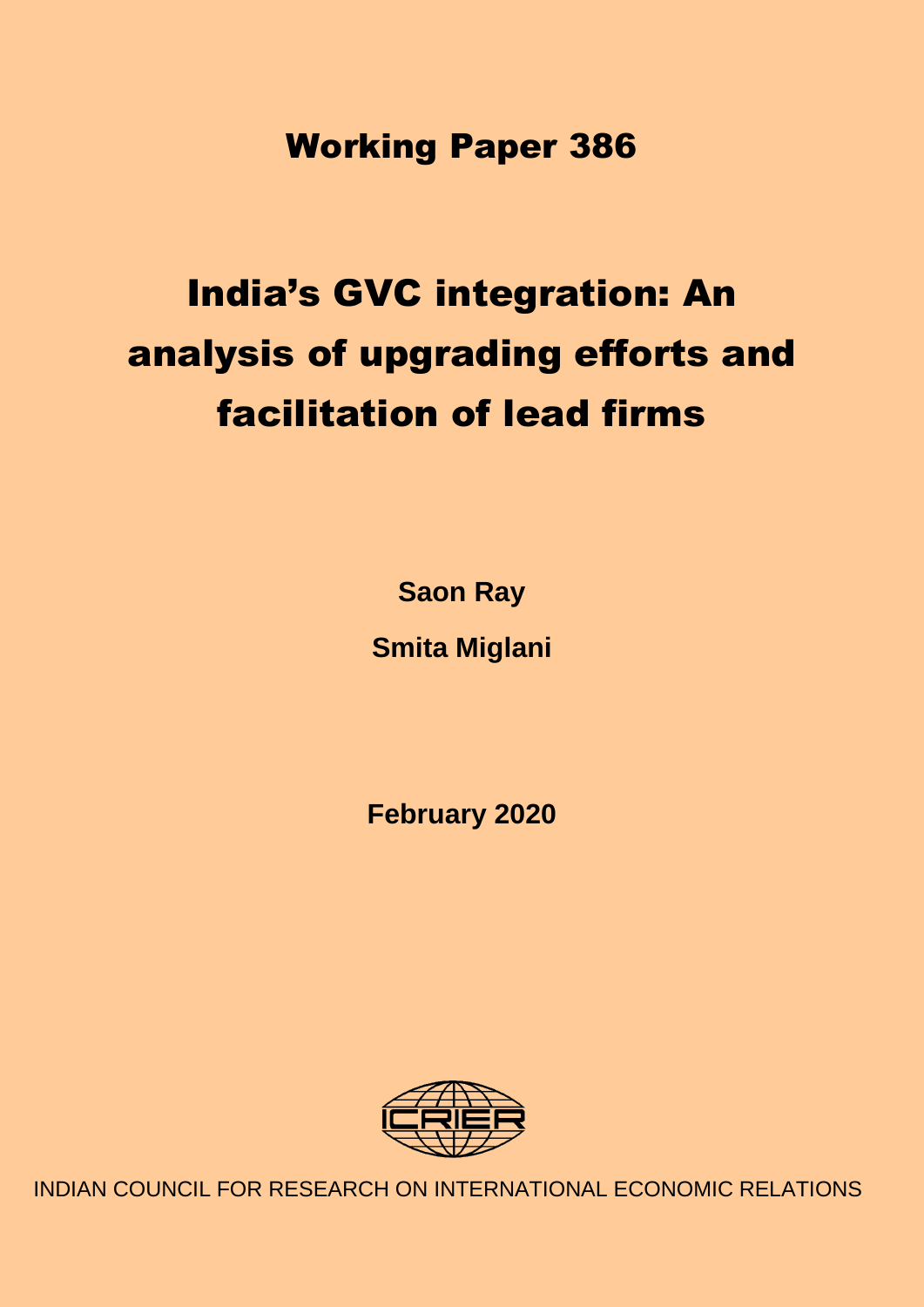Working Paper 386

# India's GVC integration: An analysis of upgrading efforts and facilitation of lead firms

**Saon Ray Smita Miglani**

**February 2020**



INDIAN COUNCIL FOR RESEARCH ON INTERNATIONAL ECONOMIC RELATIONS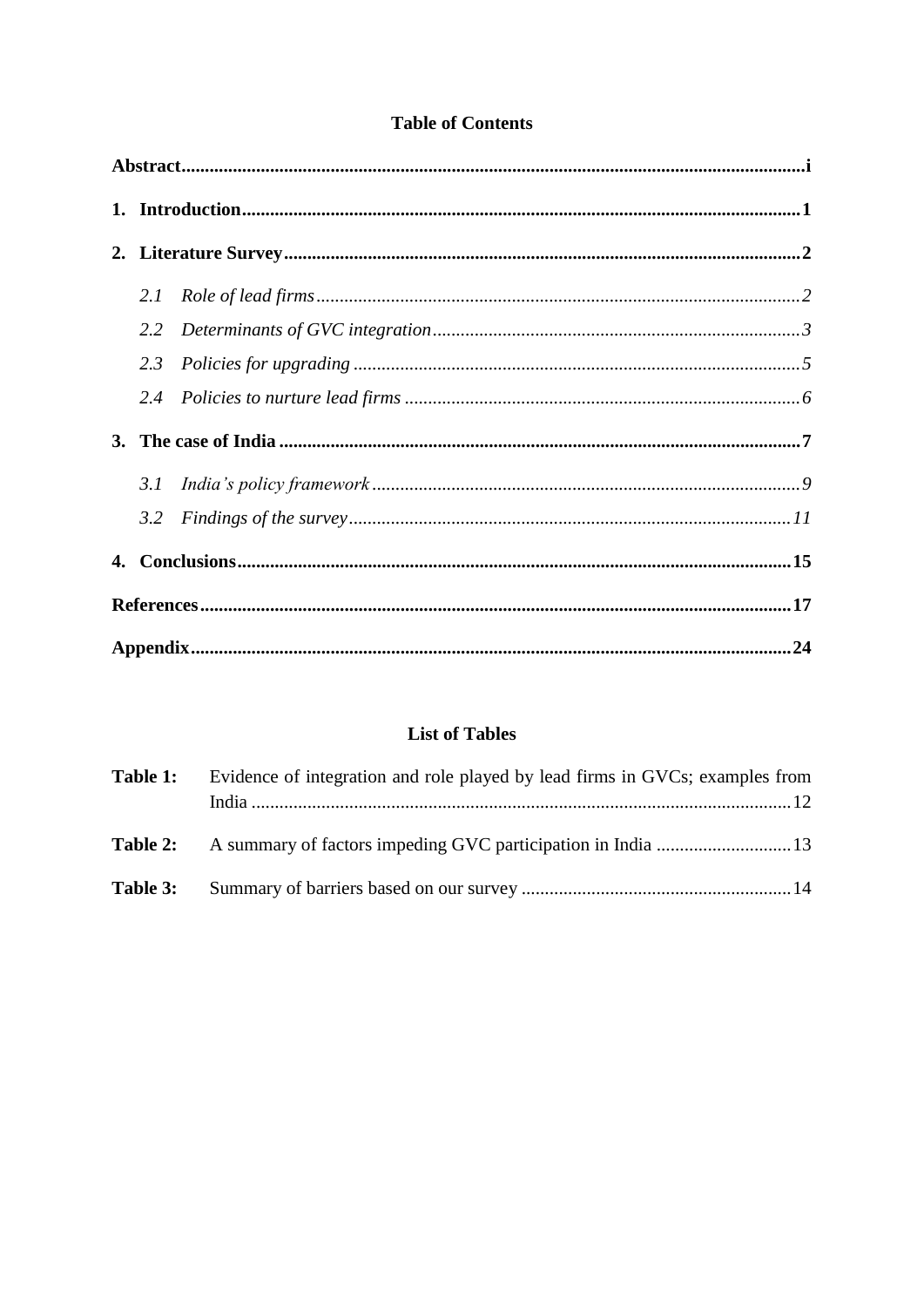## **Table of Contents**

| 2.2 |  |  |  |  |
|-----|--|--|--|--|
|     |  |  |  |  |
|     |  |  |  |  |
|     |  |  |  |  |
|     |  |  |  |  |
| 3.2 |  |  |  |  |
|     |  |  |  |  |
|     |  |  |  |  |
|     |  |  |  |  |

#### **List of Tables**

|          | <b>Table 1:</b> Evidence of integration and role played by lead firms in GVCs; examples from |  |  |
|----------|----------------------------------------------------------------------------------------------|--|--|
|          |                                                                                              |  |  |
| Table 3: |                                                                                              |  |  |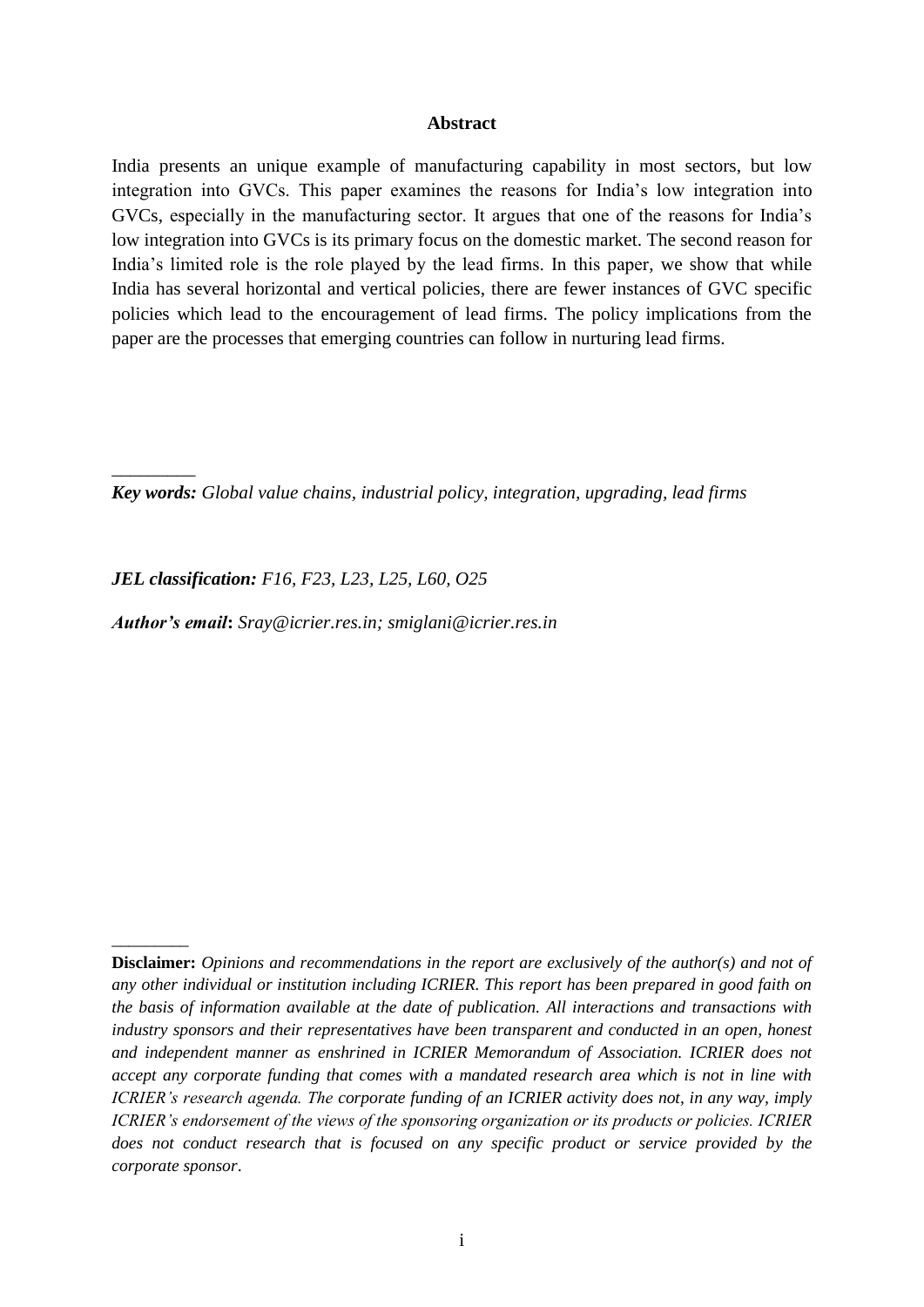#### **Abstract**

<span id="page-2-0"></span>India presents an unique example of manufacturing capability in most sectors, but low integration into GVCs. This paper examines the reasons for India's low integration into GVCs, especially in the manufacturing sector. It argues that one of the reasons for India's low integration into GVCs is its primary focus on the domestic market. The second reason for India's limited role is the role played by the lead firms. In this paper, we show that while India has several horizontal and vertical policies, there are fewer instances of GVC specific policies which lead to the encouragement of lead firms. The policy implications from the paper are the processes that emerging countries can follow in nurturing lead firms.

*Key words: Global value chains, industrial policy, integration, upgrading, lead firms*

*JEL classification: F16, F23, L23, L25, L60, O25*

*\_\_\_\_\_\_\_\_\_*

\_\_\_\_\_\_\_\_\_

*Author's email***:** *Sray@icrier.res.in; smiglani@icrier.res.in*

**Disclaimer:** *Opinions and recommendations in the report are exclusively of the author(s) and not of any other individual or institution including ICRIER. This report has been prepared in good faith on the basis of information available at the date of publication. All interactions and transactions with industry sponsors and their representatives have been transparent and conducted in an open, honest and independent manner as enshrined in ICRIER Memorandum of Association. ICRIER does not accept any corporate funding that comes with a mandated research area which is not in line with ICRIER's research agenda. The corporate funding of an ICRIER activity does not, in any way, imply ICRIER's endorsement of the views of the sponsoring organization or its products or policies. ICRIER does not conduct research that is focused on any specific product or service provided by the corporate sponsor*.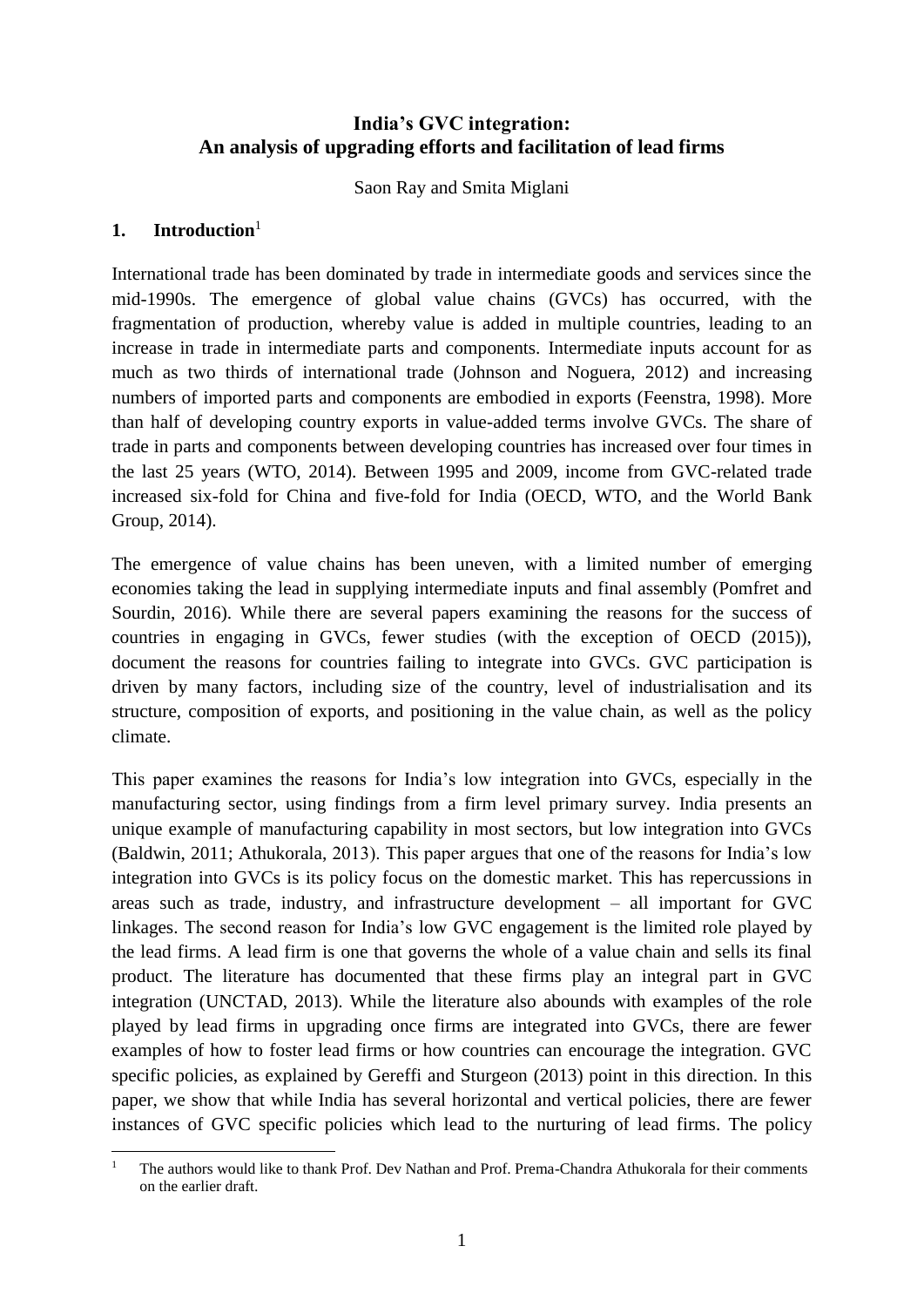#### **India's GVC integration: An analysis of upgrading efforts and facilitation of lead firms**

Saon Ray and Smita Miglani

#### <span id="page-3-0"></span>**1. Introduction**<sup>1</sup>

International trade has been dominated by trade in intermediate goods and services since the mid-1990s. The emergence of global value chains (GVCs) has occurred, with the fragmentation of production, whereby value is added in multiple countries, leading to an increase in trade in intermediate parts and components. Intermediate inputs account for as much as two thirds of international trade (Johnson and Noguera, 2012) and increasing numbers of imported parts and components are embodied in exports (Feenstra, 1998). More than half of developing country exports in value-added terms involve GVCs. The share of trade in parts and components between developing countries has increased over four times in the last 25 years (WTO, 2014). Between 1995 and 2009, income from GVC-related trade increased six-fold for China and five-fold for India (OECD, WTO, and the World Bank Group, 2014).

The emergence of value chains has been uneven, with a limited number of emerging economies taking the lead in supplying intermediate inputs and final assembly (Pomfret and Sourdin, 2016). While there are several papers examining the reasons for the success of countries in engaging in GVCs, fewer studies (with the exception of OECD (2015)), document the reasons for countries failing to integrate into GVCs. GVC participation is driven by many factors, including size of the country, level of industrialisation and its structure, composition of exports, and positioning in the value chain, as well as the policy climate.

This paper examines the reasons for India's low integration into GVCs, especially in the manufacturing sector, using findings from a firm level primary survey. India presents an unique example of manufacturing capability in most sectors, but low integration into GVCs (Baldwin, 2011; Athukorala, 2013). This paper argues that one of the reasons for India's low integration into GVCs is its policy focus on the domestic market. This has repercussions in areas such as trade, industry, and infrastructure development – all important for GVC linkages. The second reason for India's low GVC engagement is the limited role played by the lead firms. A lead firm is one that governs the whole of a value chain and sells its final product. The literature has documented that these firms play an integral part in GVC integration (UNCTAD, 2013). While the literature also abounds with examples of the role played by lead firms in upgrading once firms are integrated into GVCs, there are fewer examples of how to foster lead firms or how countries can encourage the integration. GVC specific policies, as explained by Gereffi and Sturgeon (2013) point in this direction. In this paper, we show that while India has several horizontal and vertical policies, there are fewer instances of GVC specific policies which lead to the nurturing of lead firms. The policy

 $\mathbf{1}$ <sup>1</sup> The authors would like to thank Prof. Dev Nathan and Prof. Prema-Chandra Athukorala for their comments on the earlier draft.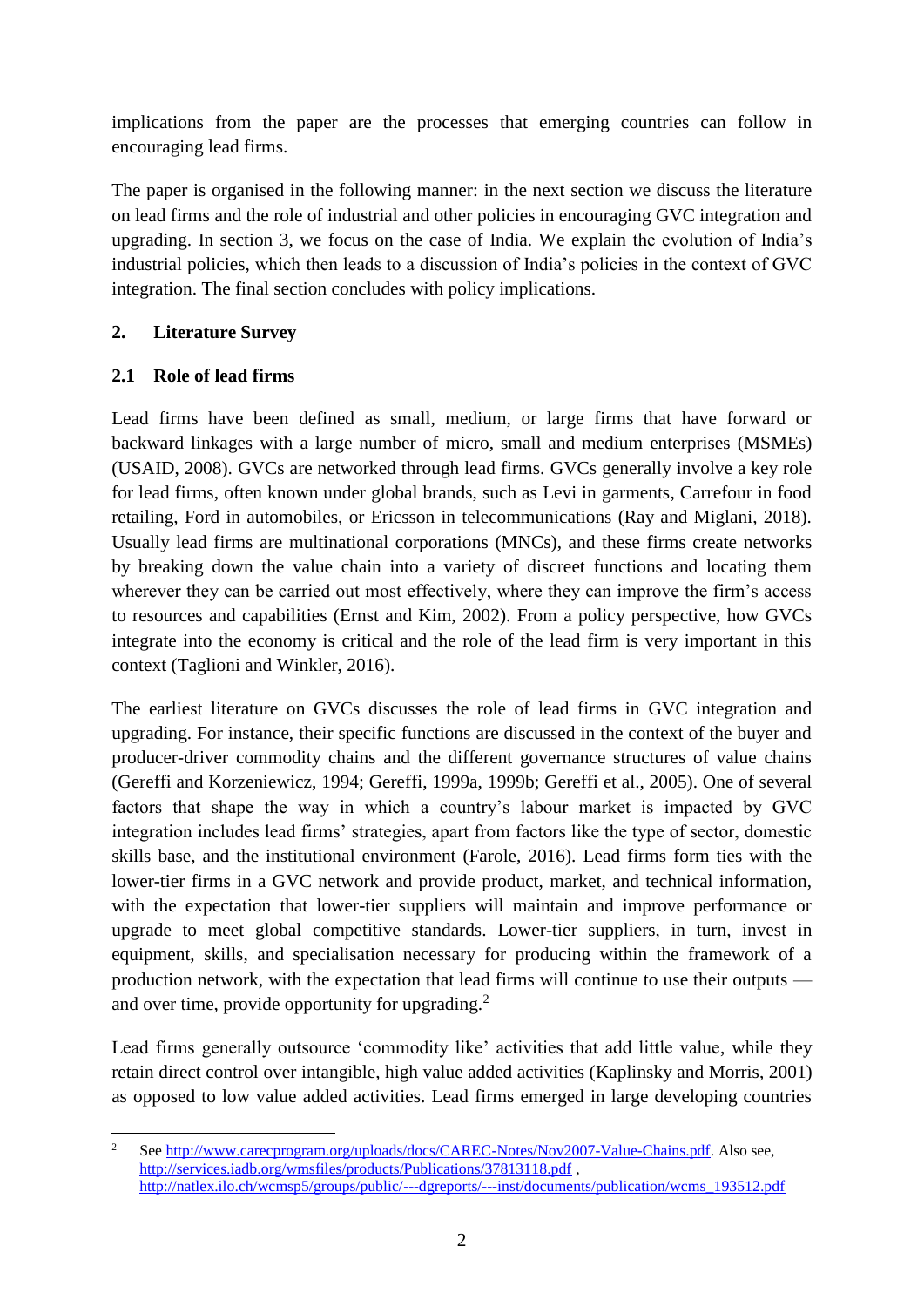implications from the paper are the processes that emerging countries can follow in encouraging lead firms.

The paper is organised in the following manner: in the next section we discuss the literature on lead firms and the role of industrial and other policies in encouraging GVC integration and upgrading. In section 3, we focus on the case of India. We explain the evolution of India's industrial policies, which then leads to a discussion of India's policies in the context of GVC integration. The final section concludes with policy implications.

#### <span id="page-4-0"></span>**2. Literature Survey**

#### <span id="page-4-1"></span>**2.1 Role of lead firms**

Lead firms have been defined as small, medium, or large firms that have forward or backward linkages with a large number of micro, small and medium enterprises (MSMEs) (USAID, 2008). GVCs are networked through lead firms. GVCs generally involve a key role for lead firms, often known under global brands, such as Levi in garments, Carrefour in food retailing, Ford in automobiles, or Ericsson in telecommunications (Ray and Miglani, 2018). Usually lead firms are multinational corporations (MNCs), and these firms create networks by breaking down the value chain into a variety of discreet functions and locating them wherever they can be carried out most effectively, where they can improve the firm's access to resources and capabilities (Ernst and Kim, 2002). From a policy perspective, how GVCs integrate into the economy is critical and the role of the lead firm is very important in this context (Taglioni and Winkler, 2016).

The earliest literature on GVCs discusses the role of lead firms in GVC integration and upgrading. For instance, their specific functions are discussed in the context of the buyer and producer-driver commodity chains and the different governance structures of value chains (Gereffi and Korzeniewicz, 1994; Gereffi, 1999a, 1999b; Gereffi et al., 2005). One of several factors that shape the way in which a country's labour market is impacted by GVC integration includes lead firms' strategies, apart from factors like the type of sector, domestic skills base, and the institutional environment (Farole, 2016). Lead firms form ties with the lower-tier firms in a GVC network and provide product, market, and technical information, with the expectation that lower-tier suppliers will maintain and improve performance or upgrade to meet global competitive standards. Lower-tier suppliers, in turn, invest in equipment, skills, and specialisation necessary for producing within the framework of a production network, with the expectation that lead firms will continue to use their outputs and over time, provide opportunity for upgrading.<sup>2</sup>

Lead firms generally outsource 'commodity like' activities that add little value, while they retain direct control over intangible, high value added activities (Kaplinsky and Morris, 2001) as opposed to low value added activities. Lead firms emerged in large developing countries

 $\overline{c}$ <sup>2</sup> See [http://www.carecprogram.org/uploads/docs/CAREC-Notes/Nov2007-Value-Chains.pdf.](http://www.carecprogram.org/uploads/docs/CAREC-Notes/Nov2007-Value-Chains.pdf) Also see, <http://services.iadb.org/wmsfiles/products/Publications/37813118.pdf> , [http://natlex.ilo.ch/wcmsp5/groups/public/---dgreports/---inst/documents/publication/wcms\\_193512.pdf](http://natlex.ilo.ch/wcmsp5/groups/public/---dgreports/---inst/documents/publication/wcms_193512.pdf)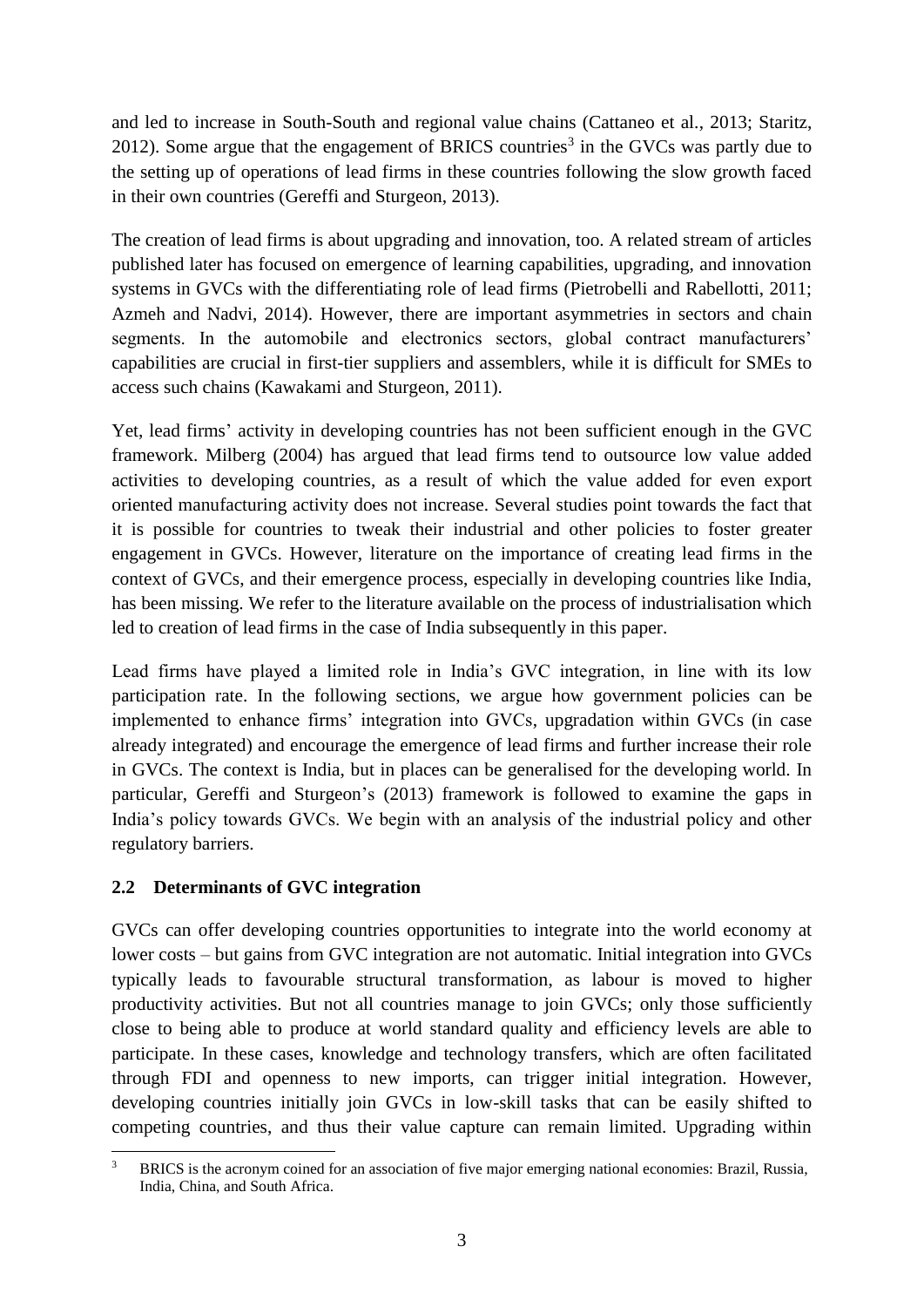and led to increase in South-South and regional value chains (Cattaneo et al., 2013; Staritz, 2012). Some argue that the engagement of BRICS countries<sup>3</sup> in the GVCs was partly due to the setting up of operations of lead firms in these countries following the slow growth faced in their own countries (Gereffi and Sturgeon, 2013).

The creation of lead firms is about upgrading and innovation, too. A related stream of articles published later has focused on emergence of learning capabilities, upgrading, and innovation systems in GVCs with the differentiating role of lead firms (Pietrobelli and Rabellotti, 2011; Azmeh and Nadvi, 2014). However, there are important asymmetries in sectors and chain segments. In the automobile and electronics sectors, global contract manufacturers' capabilities are crucial in first-tier suppliers and assemblers, while it is difficult for SMEs to access such chains (Kawakami and Sturgeon, 2011).

Yet, lead firms' activity in developing countries has not been sufficient enough in the GVC framework. Milberg (2004) has argued that lead firms tend to outsource low value added activities to developing countries, as a result of which the value added for even export oriented manufacturing activity does not increase. Several studies point towards the fact that it is possible for countries to tweak their industrial and other policies to foster greater engagement in GVCs. However, literature on the importance of creating lead firms in the context of GVCs, and their emergence process, especially in developing countries like India, has been missing. We refer to the literature available on the process of industrialisation which led to creation of lead firms in the case of India subsequently in this paper.

Lead firms have played a limited role in India's GVC integration, in line with its low participation rate. In the following sections, we argue how government policies can be implemented to enhance firms' integration into GVCs, upgradation within GVCs (in case already integrated) and encourage the emergence of lead firms and further increase their role in GVCs. The context is India, but in places can be generalised for the developing world. In particular, Gereffi and Sturgeon's (2013) framework is followed to examine the gaps in India's policy towards GVCs. We begin with an analysis of the industrial policy and other regulatory barriers.

#### <span id="page-5-0"></span>**2.2 Determinants of GVC integration**

GVCs can offer developing countries opportunities to integrate into the world economy at lower costs – but gains from GVC integration are not automatic. Initial integration into GVCs typically leads to favourable structural transformation, as labour is moved to higher productivity activities. But not all countries manage to join GVCs; only those sufficiently close to being able to produce at world standard quality and efficiency levels are able to participate. In these cases, knowledge and technology transfers, which are often facilitated through FDI and openness to new imports, can trigger initial integration. However, developing countries initially join GVCs in low-skill tasks that can be easily shifted to competing countries, and thus their value capture can remain limited. Upgrading within

 $\overline{3}$ <sup>3</sup> BRICS is the acronym coined for an association of five major emerging national economies: Brazil, Russia, India, China, and South Africa.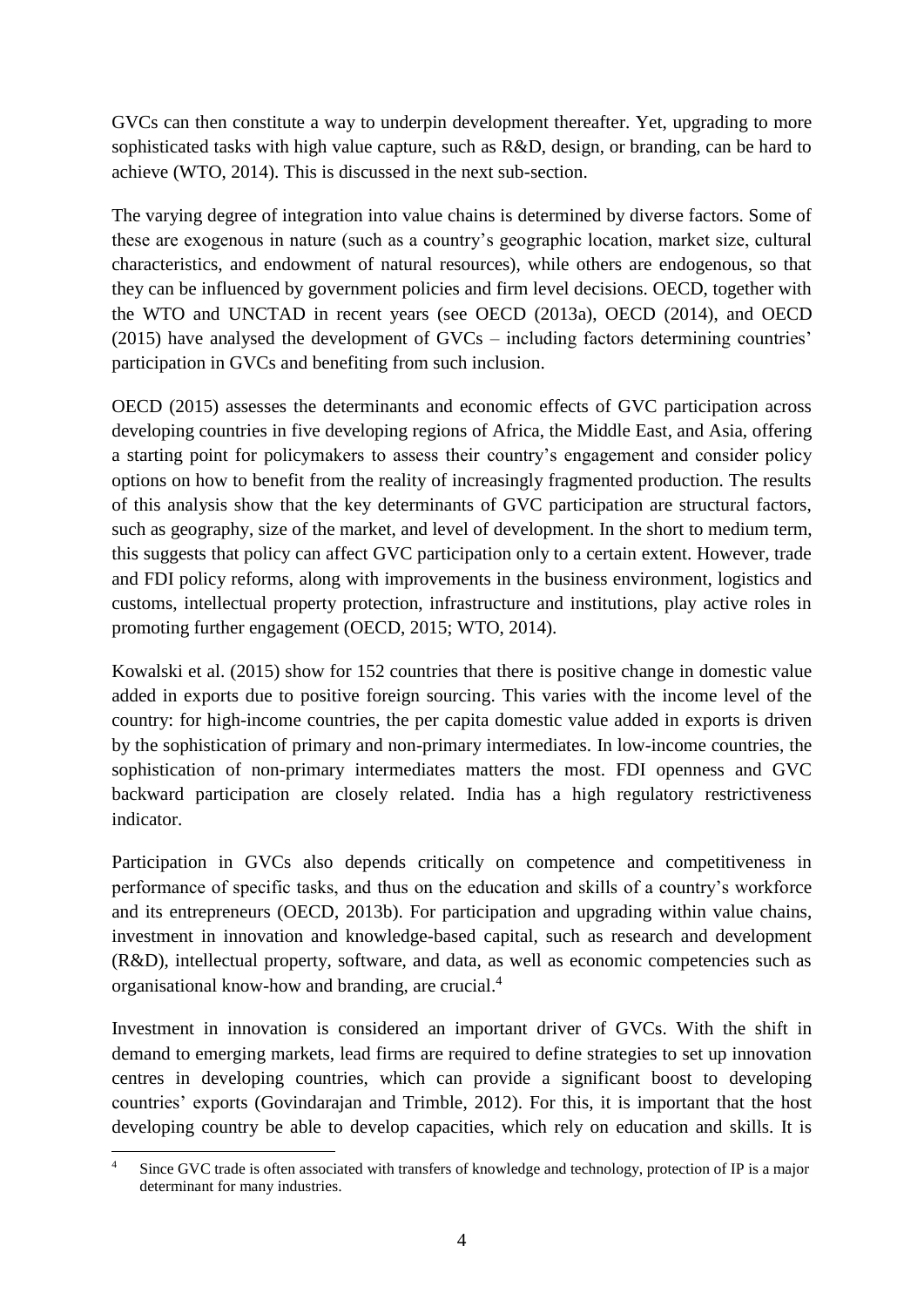GVCs can then constitute a way to underpin development thereafter. Yet, upgrading to more sophisticated tasks with high value capture, such as R&D, design, or branding, can be hard to achieve (WTO, 2014). This is discussed in the next sub-section.

The varying degree of integration into value chains is determined by diverse factors. Some of these are exogenous in nature (such as a country's geographic location, market size, cultural characteristics, and endowment of natural resources), while others are endogenous, so that they can be influenced by government policies and firm level decisions. OECD, together with the WTO and UNCTAD in recent years (see OECD (2013a), OECD (2014), and OECD (2015) have analysed the development of GVCs – including factors determining countries' participation in GVCs and benefiting from such inclusion.

OECD (2015) assesses the determinants and economic effects of GVC participation across developing countries in five developing regions of Africa, the Middle East, and Asia, offering a starting point for policymakers to assess their country's engagement and consider policy options on how to benefit from the reality of increasingly fragmented production. The results of this analysis show that the key determinants of GVC participation are structural factors, such as geography, size of the market, and level of development. In the short to medium term, this suggests that policy can affect GVC participation only to a certain extent. However, trade and FDI policy reforms, along with improvements in the business environment, logistics and customs, intellectual property protection, infrastructure and institutions, play active roles in promoting further engagement (OECD, 2015; WTO, 2014).

Kowalski et al. (2015) show for 152 countries that there is positive change in domestic value added in exports due to positive foreign sourcing. This varies with the income level of the country: for high-income countries, the per capita domestic value added in exports is driven by the sophistication of primary and non-primary intermediates. In low-income countries, the sophistication of non-primary intermediates matters the most. FDI openness and GVC backward participation are closely related. India has a high regulatory restrictiveness indicator.

Participation in GVCs also depends critically on competence and competitiveness in performance of specific tasks, and thus on the education and skills of a country's workforce and its entrepreneurs (OECD, 2013b). For participation and upgrading within value chains, investment in innovation and knowledge-based capital, such as research and development (R&D), intellectual property, software, and data, as well as economic competencies such as organisational know-how and branding, are crucial.<sup>4</sup>

Investment in innovation is considered an important driver of GVCs. With the shift in demand to emerging markets, lead firms are required to define strategies to set up innovation centres in developing countries, which can provide a significant boost to developing countries' exports (Govindarajan and Trimble, 2012). For this, it is important that the host developing country be able to develop capacities, which rely on education and skills. It is

 $\frac{1}{4}$  Since GVC trade is often associated with transfers of knowledge and technology, protection of IP is a major determinant for many industries.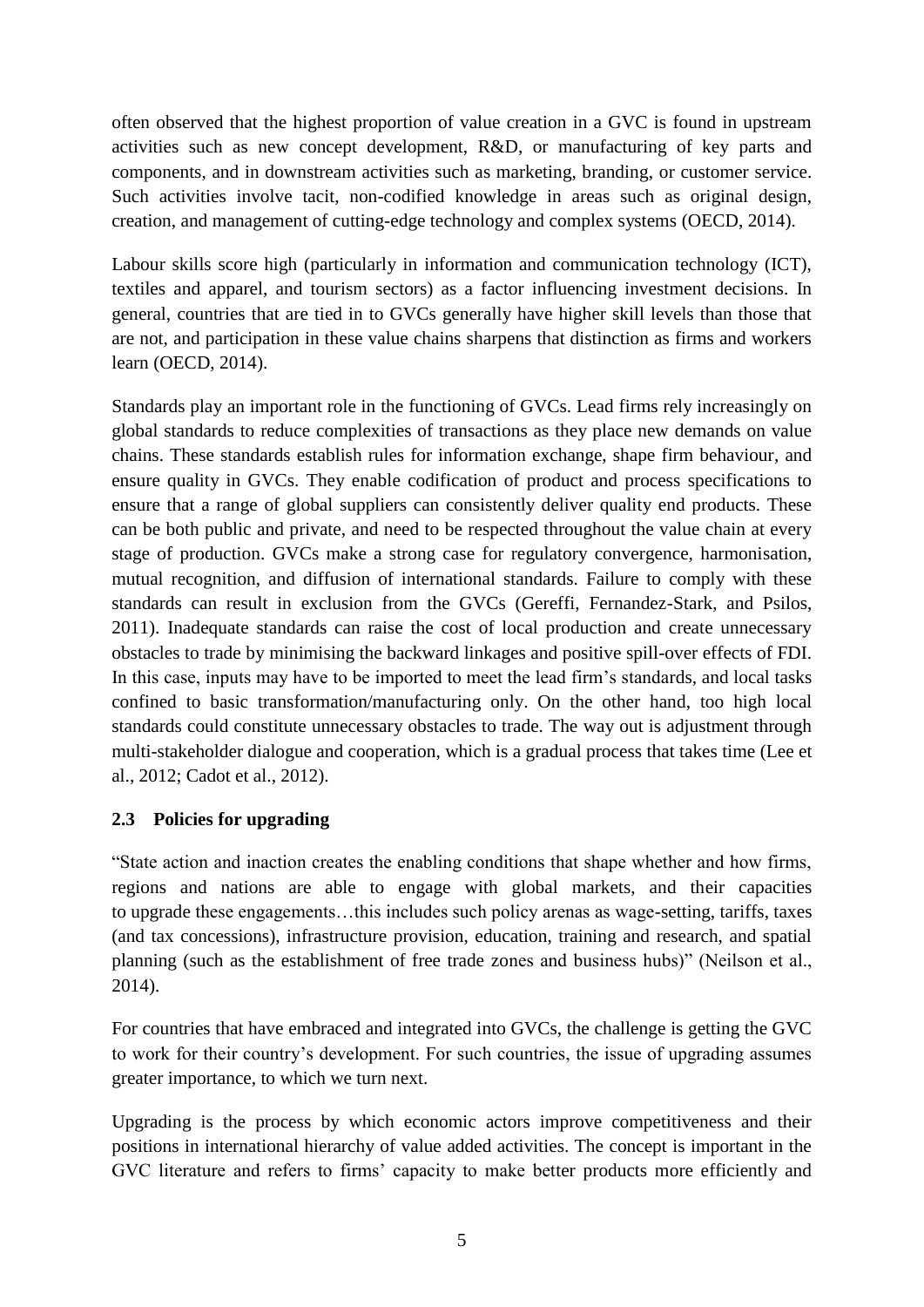often observed that the highest proportion of value creation in a GVC is found in upstream activities such as new concept development, R&D, or manufacturing of key parts and components, and in downstream activities such as marketing, branding, or customer service. Such activities involve tacit, non-codified knowledge in areas such as original design, creation, and management of cutting-edge technology and complex systems (OECD, 2014).

Labour skills score high (particularly in information and communication technology (ICT), textiles and apparel, and tourism sectors) as a factor influencing investment decisions. In general, countries that are tied in to GVCs generally have higher skill levels than those that are not, and participation in these value chains sharpens that distinction as firms and workers learn (OECD, 2014).

Standards play an important role in the functioning of GVCs. Lead firms rely increasingly on global standards to reduce complexities of transactions as they place new demands on value chains. These standards establish rules for information exchange, shape firm behaviour, and ensure quality in GVCs. They enable codification of product and process specifications to ensure that a range of global suppliers can consistently deliver quality end products. These can be both public and private, and need to be respected throughout the value chain at every stage of production. GVCs make a strong case for regulatory convergence, harmonisation, mutual recognition, and diffusion of international standards. Failure to comply with these standards can result in exclusion from the GVCs (Gereffi, Fernandez-Stark, and Psilos, 2011). Inadequate standards can raise the cost of local production and create unnecessary obstacles to trade by minimising the backward linkages and positive spill-over effects of FDI. In this case, inputs may have to be imported to meet the lead firm's standards, and local tasks confined to basic transformation/manufacturing only. On the other hand, too high local standards could constitute unnecessary obstacles to trade. The way out is adjustment through multi-stakeholder dialogue and cooperation, which is a gradual process that takes time (Lee et al., 2012; Cadot et al., 2012).

#### <span id="page-7-0"></span>**2.3 Policies for upgrading**

"State action and inaction creates the enabling conditions that shape whether and how firms, regions and nations are able to engage with global markets, and their capacities to upgrade these engagements…this includes such policy arenas as wage-setting, tariffs, taxes (and tax concessions), infrastructure provision, education, training and research, and spatial planning (such as the establishment of free trade zones and business hubs)" (Neilson et al., 2014).

For countries that have embraced and integrated into GVCs, the challenge is getting the GVC to work for their country's development. For such countries, the issue of upgrading assumes greater importance, to which we turn next.

Upgrading is the process by which economic actors improve competitiveness and their positions in international hierarchy of value added activities. The concept is important in the GVC literature and refers to firms' capacity to make better products more efficiently and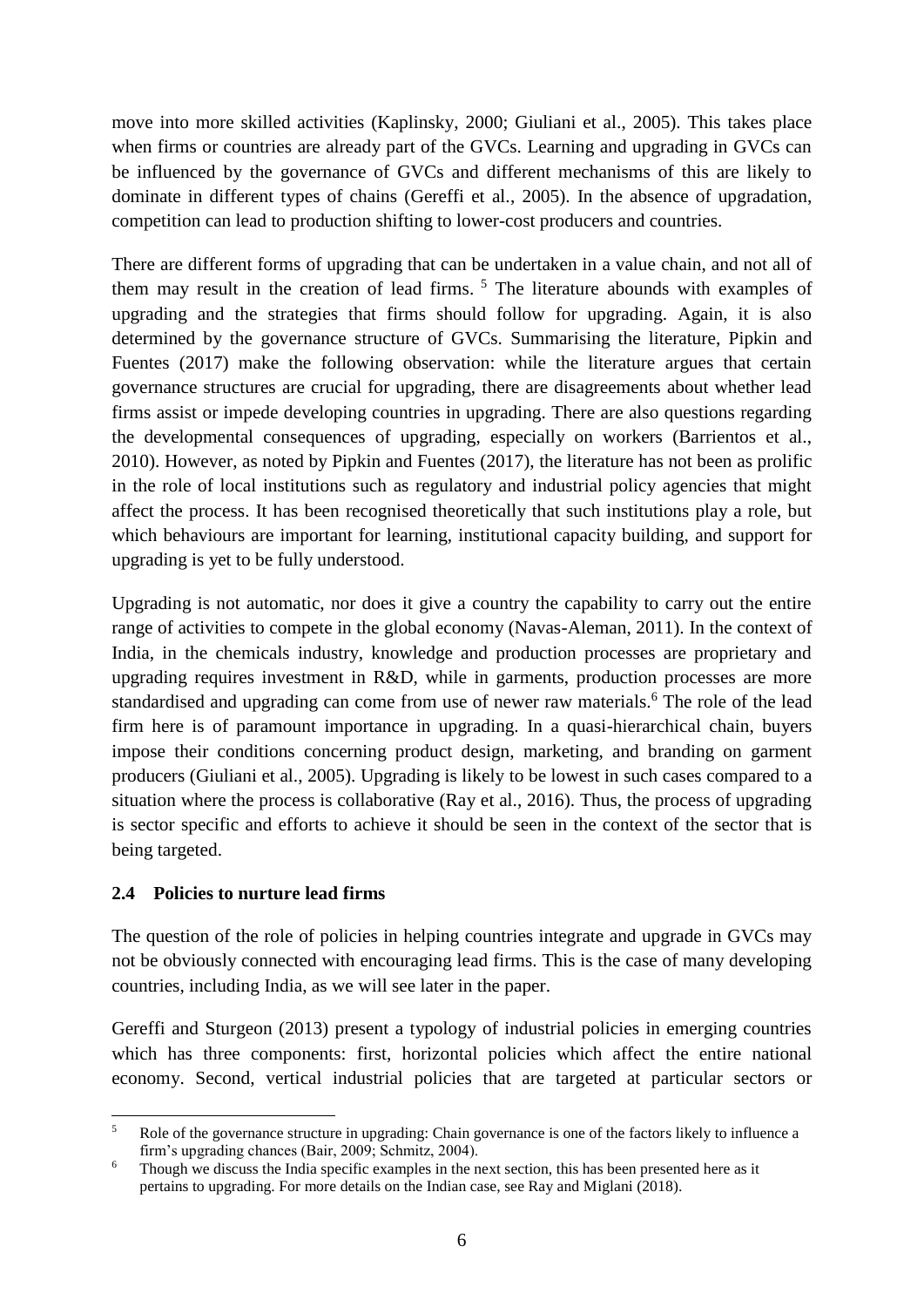move into more skilled activities (Kaplinsky, 2000; Giuliani et al., 2005). This takes place when firms or countries are already part of the GVCs. Learning and upgrading in GVCs can be influenced by the governance of GVCs and different mechanisms of this are likely to dominate in different types of chains (Gereffi et al., 2005). In the absence of upgradation, competition can lead to production shifting to lower-cost producers and countries.

There are different forms of upgrading that can be undertaken in a value chain, and not all of them may result in the creation of lead firms. <sup>5</sup> The literature abounds with examples of upgrading and the strategies that firms should follow for upgrading. Again, it is also determined by the governance structure of GVCs. Summarising the literature, Pipkin and Fuentes (2017) make the following observation: while the literature argues that certain governance structures are crucial for upgrading, there are disagreements about whether lead firms assist or impede developing countries in upgrading. There are also questions regarding the developmental consequences of upgrading, especially on workers (Barrientos et al., 2010). However, as noted by Pipkin and Fuentes (2017), the literature has not been as prolific in the role of local institutions such as regulatory and industrial policy agencies that might affect the process. It has been recognised theoretically that such institutions play a role, but which behaviours are important for learning, institutional capacity building, and support for upgrading is yet to be fully understood.

Upgrading is not automatic, nor does it give a country the capability to carry out the entire range of activities to compete in the global economy (Navas-Aleman, 2011). In the context of India, in the chemicals industry, knowledge and production processes are proprietary and upgrading requires investment in R&D, while in garments, production processes are more standardised and upgrading can come from use of newer raw materials.<sup>6</sup> The role of the lead firm here is of paramount importance in upgrading. In a quasi-hierarchical chain, buyers impose their conditions concerning product design, marketing, and branding on garment producers (Giuliani et al., 2005). Upgrading is likely to be lowest in such cases compared to a situation where the process is collaborative (Ray et al., 2016). Thus, the process of upgrading is sector specific and efforts to achieve it should be seen in the context of the sector that is being targeted.

#### <span id="page-8-0"></span>**2.4 Policies to nurture lead firms**

The question of the role of policies in helping countries integrate and upgrade in GVCs may not be obviously connected with encouraging lead firms. This is the case of many developing countries, including India, as we will see later in the paper.

Gereffi and Sturgeon (2013) present a typology of industrial policies in emerging countries which has three components: first, horizontal policies which affect the entire national economy. Second, vertical industrial policies that are targeted at particular sectors or

**<sup>.</sup>** 5 Role of the governance structure in upgrading: Chain governance is one of the factors likely to influence a firm's upgrading chances (Bair, 2009; Schmitz, 2004).

<sup>&</sup>lt;sup>6</sup> Though we discuss the India specific examples in the next section, this has been presented here as it pertains to upgrading. For more details on the Indian case, see Ray and Miglani (2018).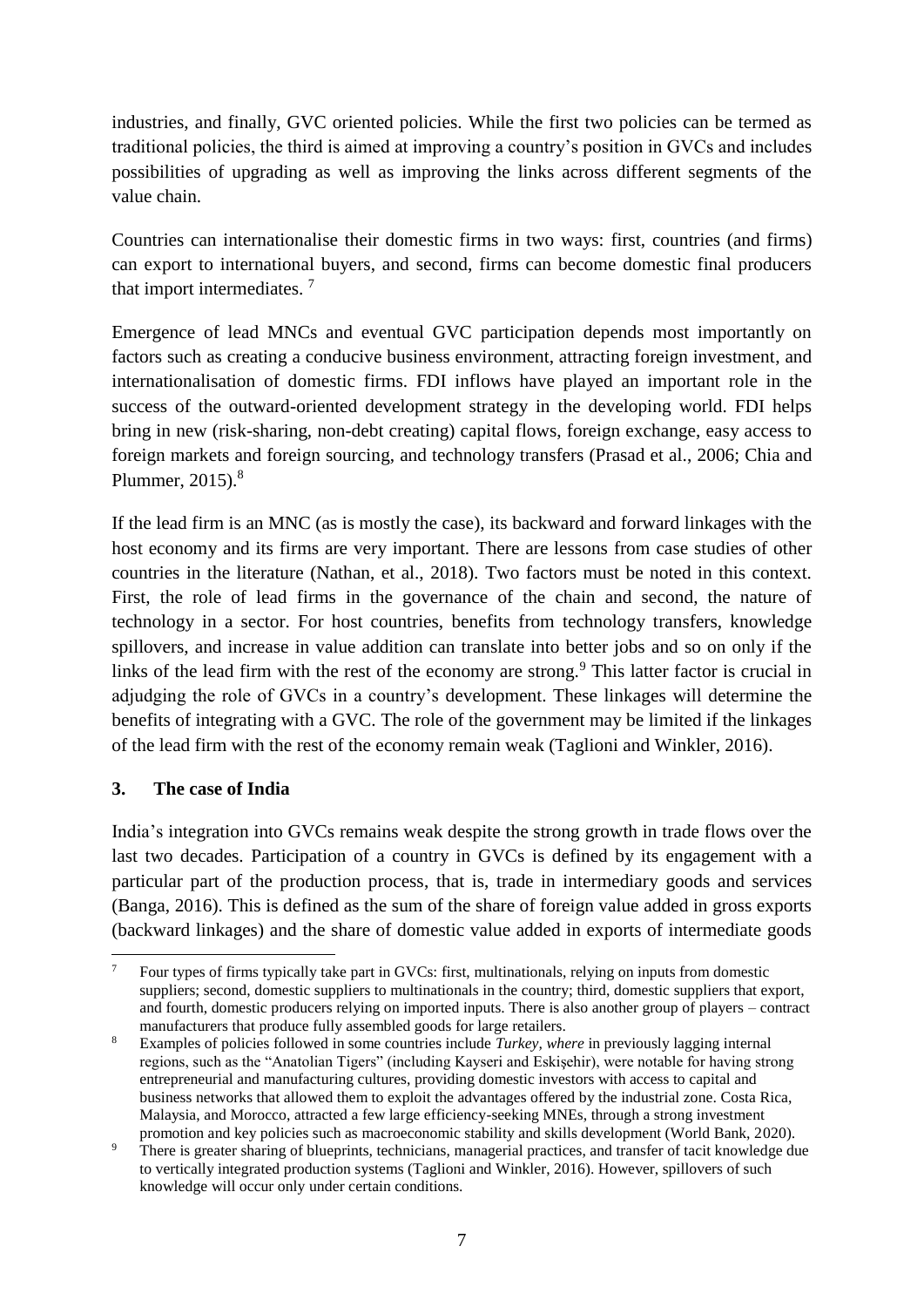industries, and finally, GVC oriented policies. While the first two policies can be termed as traditional policies, the third is aimed at improving a country's position in GVCs and includes possibilities of upgrading as well as improving the links across different segments of the value chain.

Countries can internationalise their domestic firms in two ways: first, countries (and firms) can export to international buyers, and second, firms can become domestic final producers that import intermediates. <sup>7</sup>

Emergence of lead MNCs and eventual GVC participation depends most importantly on factors such as creating a conducive business environment, attracting foreign investment, and internationalisation of domestic firms. FDI inflows have played an important role in the success of the outward-oriented development strategy in the developing world. FDI helps bring in new (risk-sharing, non-debt creating) capital flows, foreign exchange, easy access to foreign markets and foreign sourcing, and technology transfers (Prasad et al., 2006; Chia and Plummer,  $2015$ .<sup>8</sup>

If the lead firm is an MNC (as is mostly the case), its backward and forward linkages with the host economy and its firms are very important. There are lessons from case studies of other countries in the literature (Nathan, et al., 2018). Two factors must be noted in this context. First, the role of lead firms in the governance of the chain and second, the nature of technology in a sector. For host countries, benefits from technology transfers, knowledge spillovers, and increase in value addition can translate into better jobs and so on only if the links of the lead firm with the rest of the economy are strong.<sup>9</sup> This latter factor is crucial in adjudging the role of GVCs in a country's development. These linkages will determine the benefits of integrating with a GVC. The role of the government may be limited if the linkages of the lead firm with the rest of the economy remain weak (Taglioni and Winkler, 2016).

#### <span id="page-9-0"></span>**3. The case of India**

**.** 

India's integration into GVCs remains weak despite the strong growth in trade flows over the last two decades. Participation of a country in GVCs is defined by its engagement with a particular part of the production process, that is, trade in intermediary goods and services (Banga, 2016). This is defined as the sum of the share of foreign value added in gross exports (backward linkages) and the share of domestic value added in exports of intermediate goods

<sup>7</sup> Four types of firms typically take part in GVCs: first, multinationals, relying on inputs from domestic suppliers; second, domestic suppliers to multinationals in the country; third, domestic suppliers that export, and fourth, domestic producers relying on imported inputs. There is also another group of players – contract manufacturers that produce fully assembled goods for large retailers.

<sup>8</sup> Examples of policies followed in some countries include *Turkey, where* in previously lagging internal regions, such as the "Anatolian Tigers" (including Kayseri and Eskişehir), were notable for having strong entrepreneurial and manufacturing cultures, providing domestic investors with access to capital and business networks that allowed them to exploit the advantages offered by the industrial zone. Costa Rica, Malaysia, and Morocco, attracted a few large efficiency-seeking MNEs, through a strong investment promotion and key policies such as macroeconomic stability and skills development (World Bank, 2020).

<sup>&</sup>lt;sup>9</sup> There is greater sharing of blueprints, technicians, managerial practices, and transfer of tacit knowledge due to vertically integrated production systems (Taglioni and Winkler, 2016). However, spillovers of such knowledge will occur only under certain conditions.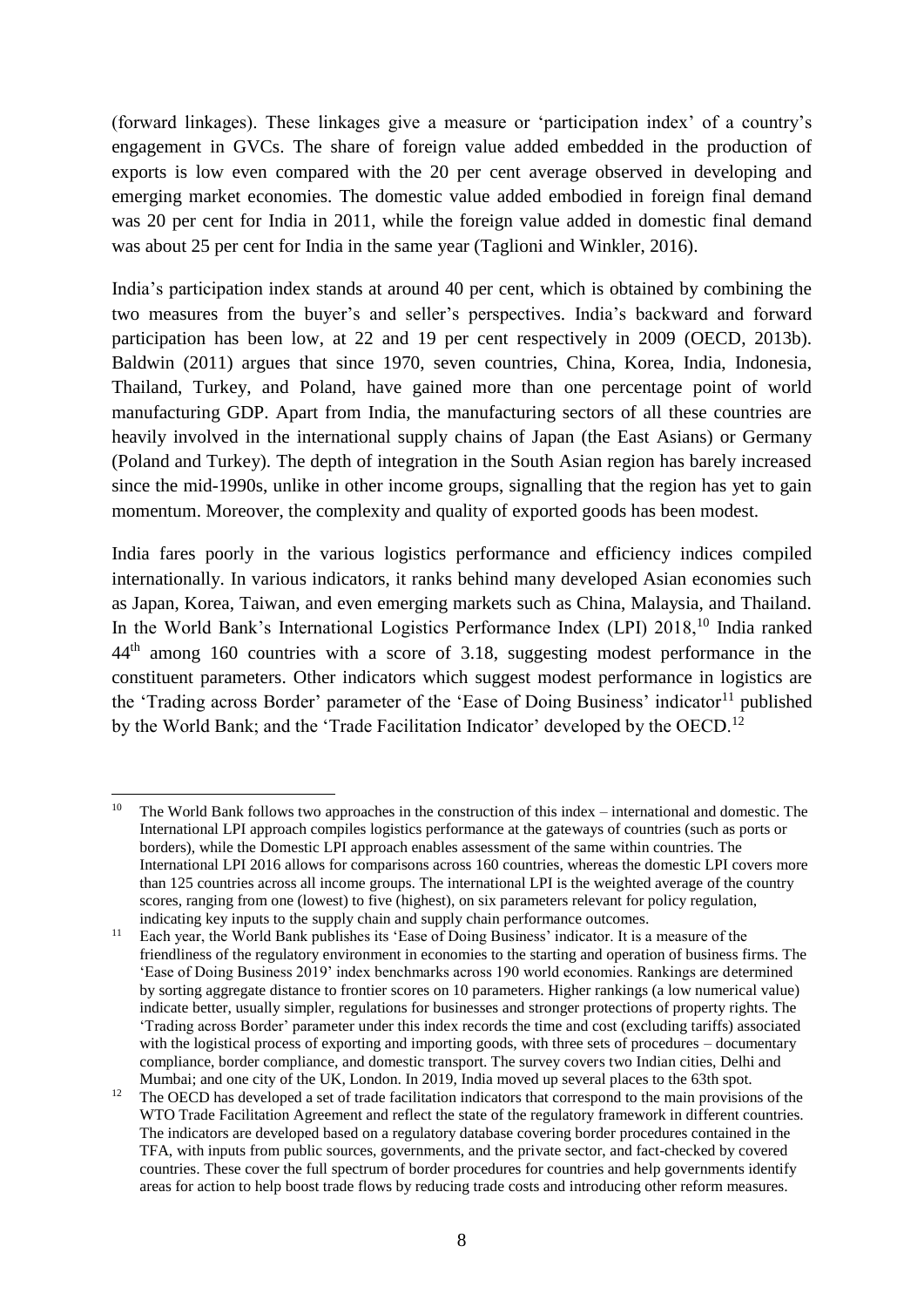(forward linkages). These linkages give a measure or 'participation index' of a country's engagement in GVCs. The share of foreign value added embedded in the production of exports is low even compared with the 20 per cent average observed in developing and emerging market economies. The domestic value added embodied in foreign final demand was 20 per cent for India in 2011, while the foreign value added in domestic final demand was about 25 per cent for India in the same year (Taglioni and Winkler, 2016).

India's participation index stands at around 40 per cent, which is obtained by combining the two measures from the buyer's and seller's perspectives. India's backward and forward participation has been low, at 22 and 19 per cent respectively in 2009 (OECD, 2013b). Baldwin (2011) argues that since 1970, seven countries, China, Korea, India, Indonesia, Thailand, Turkey, and Poland, have gained more than one percentage point of world manufacturing GDP. Apart from India, the manufacturing sectors of all these countries are heavily involved in the international supply chains of Japan (the East Asians) or Germany (Poland and Turkey). The depth of integration in the South Asian region has barely increased since the mid-1990s, unlike in other income groups, signalling that the region has yet to gain momentum. Moreover, the complexity and quality of exported goods has been modest.

India fares poorly in the various logistics performance and efficiency indices compiled internationally. In various indicators, it ranks behind many developed Asian economies such as Japan, Korea, Taiwan, and even emerging markets such as China, Malaysia, and Thailand. In the World Bank's International Logistics Performance Index (LPI) 2018,<sup>10</sup> India ranked 44th among 160 countries with a score of 3.18, suggesting modest performance in the constituent parameters. Other indicators which suggest modest performance in logistics are the 'Trading across Border' parameter of the 'Ease of Doing Business' indicator<sup>11</sup> published by the World Bank; and the 'Trade Facilitation Indicator' developed by the OECD.<sup>12</sup>

 $10<sup>10</sup>$ <sup>10</sup> The World Bank follows two approaches in the construction of this index – international and domestic. The International LPI approach compiles logistics performance at the gateways of countries (such as ports or borders), while the Domestic LPI approach enables assessment of the same within countries. The International LPI 2016 allows for comparisons across 160 countries, whereas the domestic LPI covers more than 125 countries across all income groups. The international LPI is the weighted average of the country scores, ranging from one (lowest) to five (highest), on six parameters relevant for policy regulation, indicating key inputs to the supply chain and supply chain performance outcomes.

<sup>11</sup> Each year, the World Bank publishes its 'Ease of Doing Business' indicator. It is a measure of the friendliness of the regulatory environment in economies to the starting and operation of business firms. The 'Ease of Doing Business 2019' index benchmarks across 190 world economies. Rankings are determined by sorting aggregate distance to frontier scores on 10 parameters. Higher rankings (a low numerical value) indicate better, usually simpler, regulations for businesses and stronger protections of property rights. The 'Trading across Border' parameter under this index records the time and cost (excluding tariffs) associated with the logistical process of exporting and importing goods, with three sets of procedures – documentary compliance, border compliance, and domestic transport. The survey covers two Indian cities, Delhi and Mumbai; and one city of the UK, London. In 2019, India moved up several places to the 63th spot.

<sup>&</sup>lt;sup>12</sup> The OECD has developed a set of trade facilitation indicators that correspond to the main provisions of the WTO Trade Facilitation Agreement and reflect the state of the regulatory framework in different countries. The indicators are developed based on a regulatory database covering border procedures contained in the TFA, with inputs from public sources, governments, and the private sector, and fact-checked by covered countries. These cover the full spectrum of border procedures for countries and help governments identify areas for action to help boost trade flows by reducing trade costs and introducing other reform measures.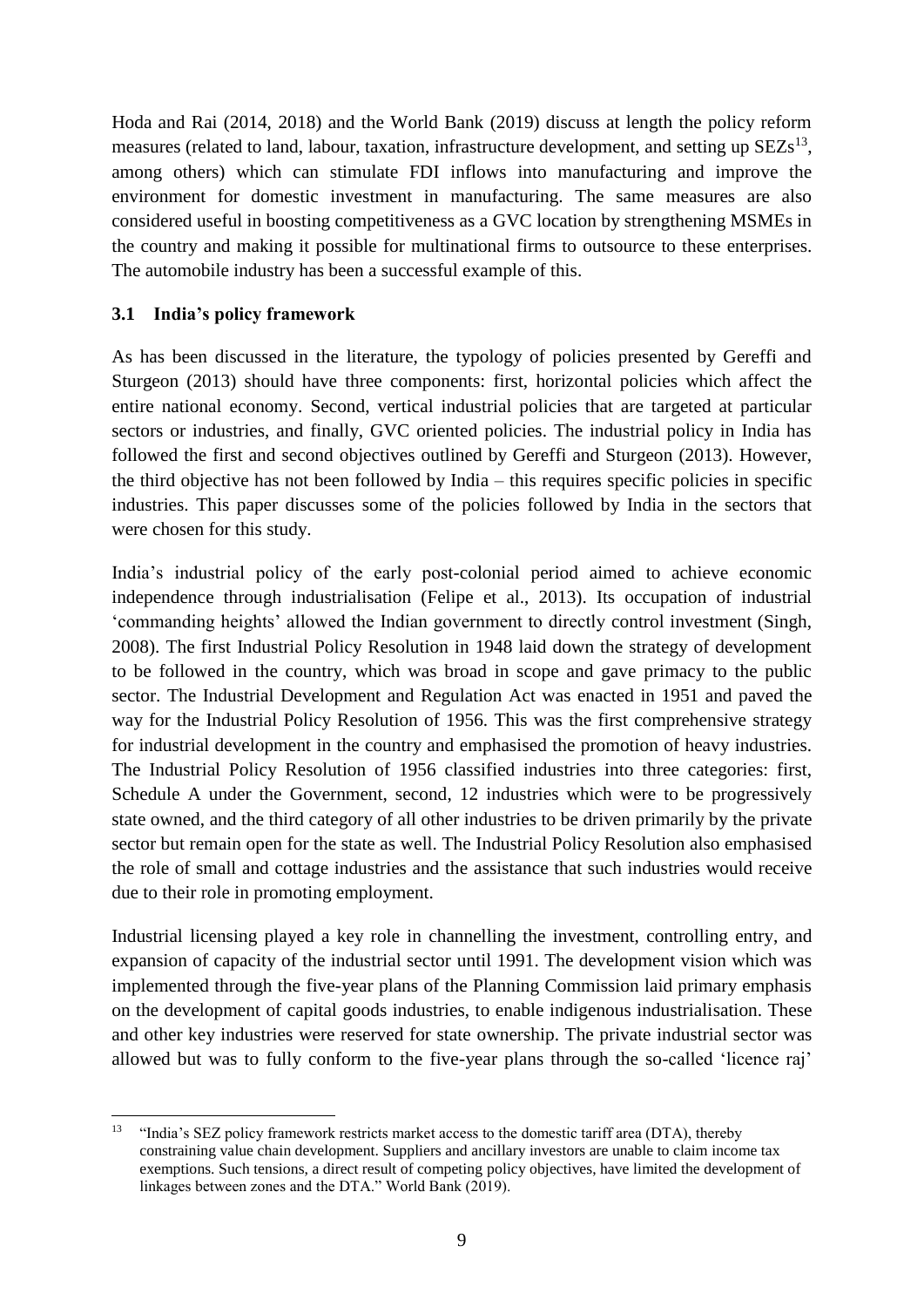Hoda and Rai (2014, 2018) and the World Bank (2019) discuss at length the policy reform measures (related to land, labour, taxation, infrastructure development, and setting up  $SEZs<sup>13</sup>$ , among others) which can stimulate FDI inflows into manufacturing and improve the environment for domestic investment in manufacturing. The same measures are also considered useful in boosting competitiveness as a GVC location by strengthening MSMEs in the country and making it possible for multinational firms to outsource to these enterprises. The automobile industry has been a successful example of this.

#### <span id="page-11-0"></span>**3.1 India's policy framework**

As has been discussed in the literature, the typology of policies presented by Gereffi and Sturgeon (2013) should have three components: first, horizontal policies which affect the entire national economy. Second, vertical industrial policies that are targeted at particular sectors or industries, and finally, GVC oriented policies. The industrial policy in India has followed the first and second objectives outlined by Gereffi and Sturgeon (2013). However, the third objective has not been followed by India – this requires specific policies in specific industries. This paper discusses some of the policies followed by India in the sectors that were chosen for this study.

India's industrial policy of the early post-colonial period aimed to achieve economic independence through industrialisation (Felipe et al., 2013). Its occupation of industrial 'commanding heights' allowed the Indian government to directly control investment (Singh, 2008). The first Industrial Policy Resolution in 1948 laid down the strategy of development to be followed in the country, which was broad in scope and gave primacy to the public sector. The Industrial Development and Regulation Act was enacted in 1951 and paved the way for the Industrial Policy Resolution of 1956. This was the first comprehensive strategy for industrial development in the country and emphasised the promotion of heavy industries. The Industrial Policy Resolution of 1956 classified industries into three categories: first, Schedule A under the Government, second, 12 industries which were to be progressively state owned, and the third category of all other industries to be driven primarily by the private sector but remain open for the state as well. The Industrial Policy Resolution also emphasised the role of small and cottage industries and the assistance that such industries would receive due to their role in promoting employment.

Industrial licensing played a key role in channelling the investment, controlling entry, and expansion of capacity of the industrial sector until 1991. The development vision which was implemented through the five-year plans of the Planning Commission laid primary emphasis on the development of capital goods industries, to enable indigenous industrialisation. These and other key industries were reserved for state ownership. The private industrial sector was allowed but was to fully conform to the five-year plans through the so-called 'licence raj'

 $13<sup>°</sup>$ <sup>13</sup> "India's SEZ policy framework restricts market access to the domestic tariff area (DTA), thereby constraining value chain development. Suppliers and ancillary investors are unable to claim income tax exemptions. Such tensions, a direct result of competing policy objectives, have limited the development of linkages between zones and the DTA." World Bank (2019).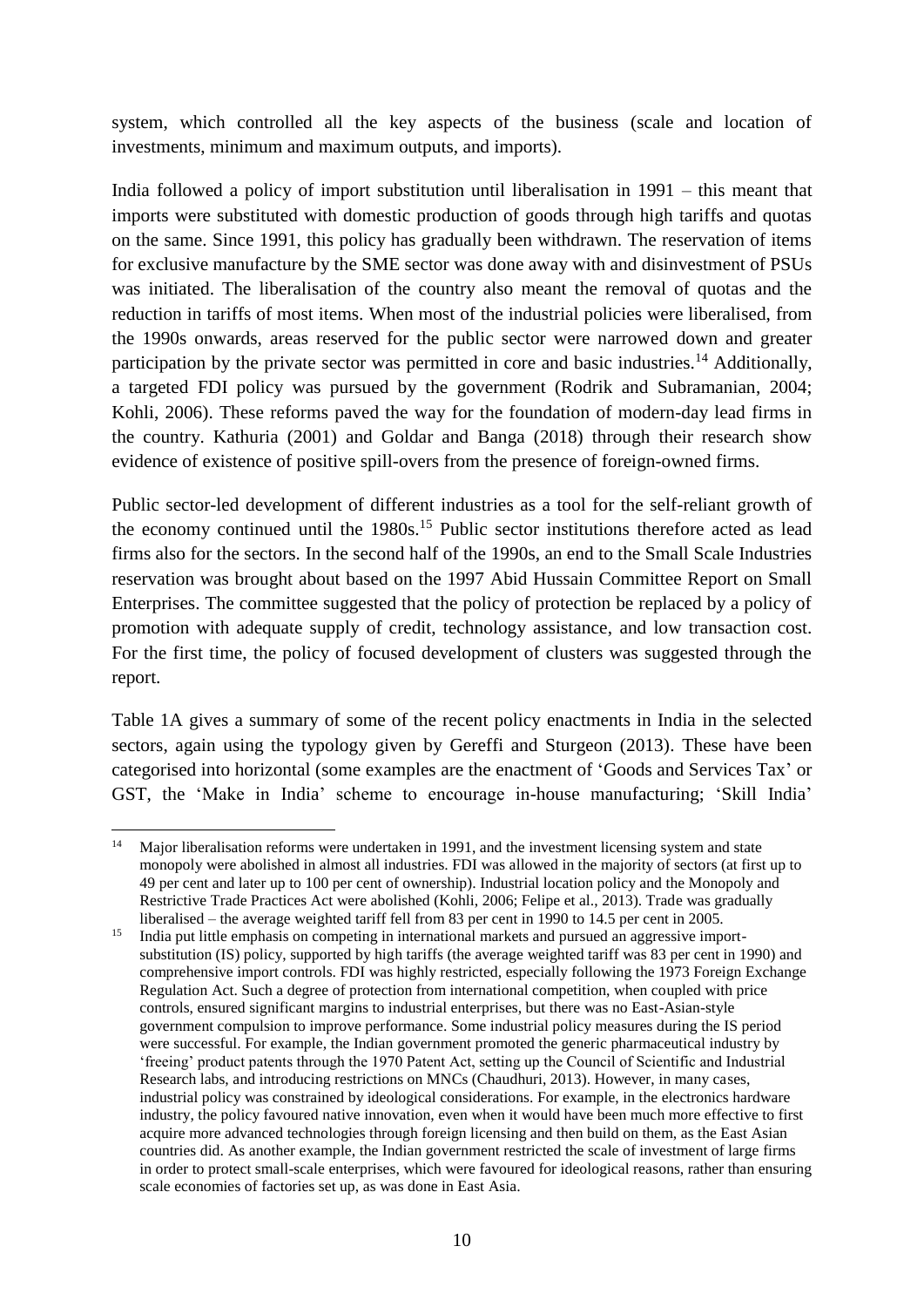system, which controlled all the key aspects of the business (scale and location of investments, minimum and maximum outputs, and imports).

India followed a policy of import substitution until liberalisation in 1991 – this meant that imports were substituted with domestic production of goods through high tariffs and quotas on the same. Since 1991, this policy has gradually been withdrawn. The reservation of items for exclusive manufacture by the SME sector was done away with and disinvestment of PSUs was initiated. The liberalisation of the country also meant the removal of quotas and the reduction in tariffs of most items. When most of the industrial policies were liberalised, from the 1990s onwards, areas reserved for the public sector were narrowed down and greater participation by the private sector was permitted in core and basic industries.<sup>14</sup> Additionally, a targeted FDI policy was pursued by the government (Rodrik and Subramanian, 2004; Kohli, 2006). These reforms paved the way for the foundation of modern-day lead firms in the country. Kathuria (2001) and Goldar and Banga (2018) through their research show evidence of existence of positive spill-overs from the presence of foreign-owned firms.

Public sector-led development of different industries as a tool for the self-reliant growth of the economy continued until the 1980s.<sup>15</sup> Public sector institutions therefore acted as lead firms also for the sectors. In the second half of the 1990s, an end to the Small Scale Industries reservation was brought about based on the 1997 Abid Hussain Committee Report on Small Enterprises. The committee suggested that the policy of protection be replaced by a policy of promotion with adequate supply of credit, technology assistance, and low transaction cost. For the first time, the policy of focused development of clusters was suggested through the report.

Table 1A gives a summary of some of the recent policy enactments in India in the selected sectors, again using the typology given by Gereffi and Sturgeon (2013). These have been categorised into horizontal (some examples are the enactment of 'Goods and Services Tax' or GST, the 'Make in India' scheme to encourage in-house manufacturing; 'Skill India'

**.** 

<sup>&</sup>lt;sup>14</sup> Major liberalisation reforms were undertaken in 1991, and the investment licensing system and state monopoly were abolished in almost all industries. FDI was allowed in the majority of sectors (at first up to 49 per cent and later up to 100 per cent of ownership). Industrial location policy and the Monopoly and Restrictive Trade Practices Act were abolished (Kohli, 2006; Felipe et al., 2013). Trade was gradually liberalised – the average weighted tariff fell from 83 per cent in 1990 to 14.5 per cent in 2005.

<sup>&</sup>lt;sup>15</sup> India put little emphasis on competing in international markets and pursued an aggressive importsubstitution (IS) policy, supported by high tariffs (the average weighted tariff was 83 per cent in 1990) and comprehensive import controls. FDI was highly restricted, especially following the 1973 Foreign Exchange Regulation Act. Such a degree of protection from international competition, when coupled with price controls, ensured significant margins to industrial enterprises, but there was no East-Asian-style government compulsion to improve performance. Some industrial policy measures during the IS period were successful. For example, the Indian government promoted the generic pharmaceutical industry by 'freeing' product patents through the 1970 Patent Act, setting up the Council of Scientific and Industrial Research labs, and introducing restrictions on MNCs (Chaudhuri, 2013). However, in many cases, industrial policy was constrained by ideological considerations. For example, in the electronics hardware industry, the policy favoured native innovation, even when it would have been much more effective to first acquire more advanced technologies through foreign licensing and then build on them, as the East Asian countries did. As another example, the Indian government restricted the scale of investment of large firms in order to protect small-scale enterprises, which were favoured for ideological reasons, rather than ensuring scale economies of factories set up, as was done in East Asia.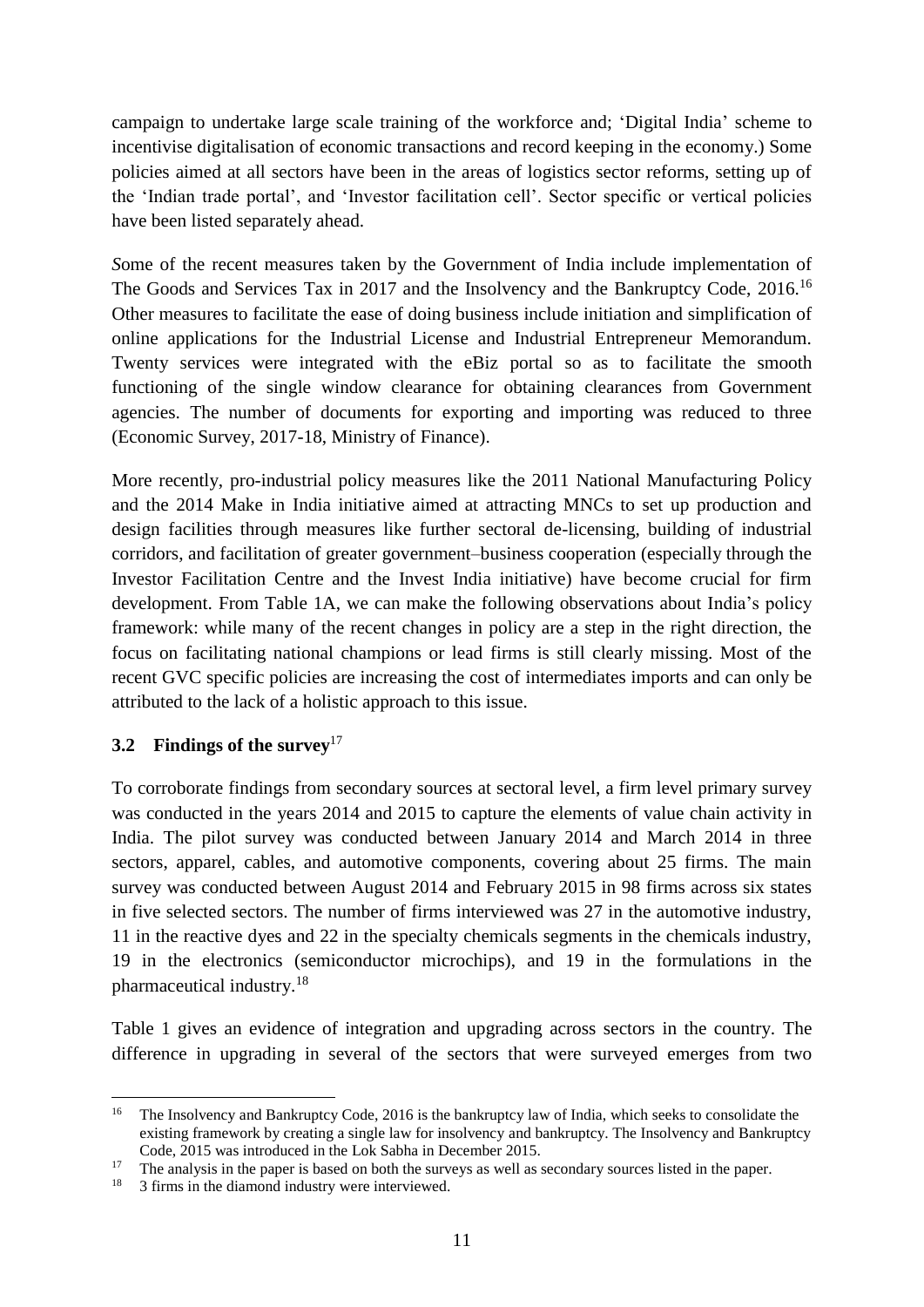campaign to undertake large scale training of the workforce and; 'Digital India' scheme to incentivise digitalisation of economic transactions and record keeping in the economy.) Some policies aimed at all sectors have been in the areas of logistics sector reforms, setting up of the 'Indian trade portal', and 'Investor facilitation cell'. Sector specific or vertical policies have been listed separately ahead.

*S*ome of the recent measures taken by the Government of India include implementation of The Goods and Services Tax in 2017 and the Insolvency and the Bankruptcy Code, 2016.<sup>16</sup> Other measures to facilitate the ease of doing business include initiation and simplification of online applications for the Industrial License and Industrial Entrepreneur Memorandum. Twenty services were integrated with the eBiz portal so as to facilitate the smooth functioning of the single window clearance for obtaining clearances from Government agencies. The number of documents for exporting and importing was reduced to three (Economic Survey, 2017-18, Ministry of Finance).

More recently, pro-industrial policy measures like the 2011 National Manufacturing Policy and the 2014 Make in India initiative aimed at attracting MNCs to set up production and design facilities through measures like further sectoral de-licensing, building of industrial corridors, and facilitation of greater government–business cooperation (especially through the Investor Facilitation Centre and the Invest India initiative) have become crucial for firm development. From Table 1A, we can make the following observations about India's policy framework: while many of the recent changes in policy are a step in the right direction, the focus on facilitating national champions or lead firms is still clearly missing. Most of the recent GVC specific policies are increasing the cost of intermediates imports and can only be attributed to the lack of a holistic approach to this issue.

#### <span id="page-13-0"></span>**3.2 Findings of the survey**<sup>17</sup>

To corroborate findings from secondary sources at sectoral level, a firm level primary survey was conducted in the years 2014 and 2015 to capture the elements of value chain activity in India. The pilot survey was conducted between January 2014 and March 2014 in three sectors, apparel, cables, and automotive components, covering about 25 firms. The main survey was conducted between August 2014 and February 2015 in 98 firms across six states in five selected sectors. The number of firms interviewed was 27 in the automotive industry, 11 in the reactive dyes and 22 in the specialty chemicals segments in the chemicals industry, 19 in the electronics (semiconductor microchips), and 19 in the formulations in the pharmaceutical industry.<sup>18</sup>

Table 1 gives an evidence of integration and upgrading across sectors in the country. The difference in upgrading in several of the sectors that were surveyed emerges from two

**<sup>.</sup>** <sup>16</sup> The Insolvency and Bankruptcy Code, 2016 is the bankruptcy law of India, which seeks to consolidate the existing framework by creating a single law for insolvency and bankruptcy. The Insolvency and Bankruptcy Code, 2015 was introduced in the Lok Sabha in December 2015.

<sup>17</sup> The analysis in the paper is based on both the surveys as well as secondary sources listed in the paper.<br><sup>18</sup> 3 firms in the diamond industry were interviewed

<sup>18</sup> 3 firms in the diamond industry were interviewed.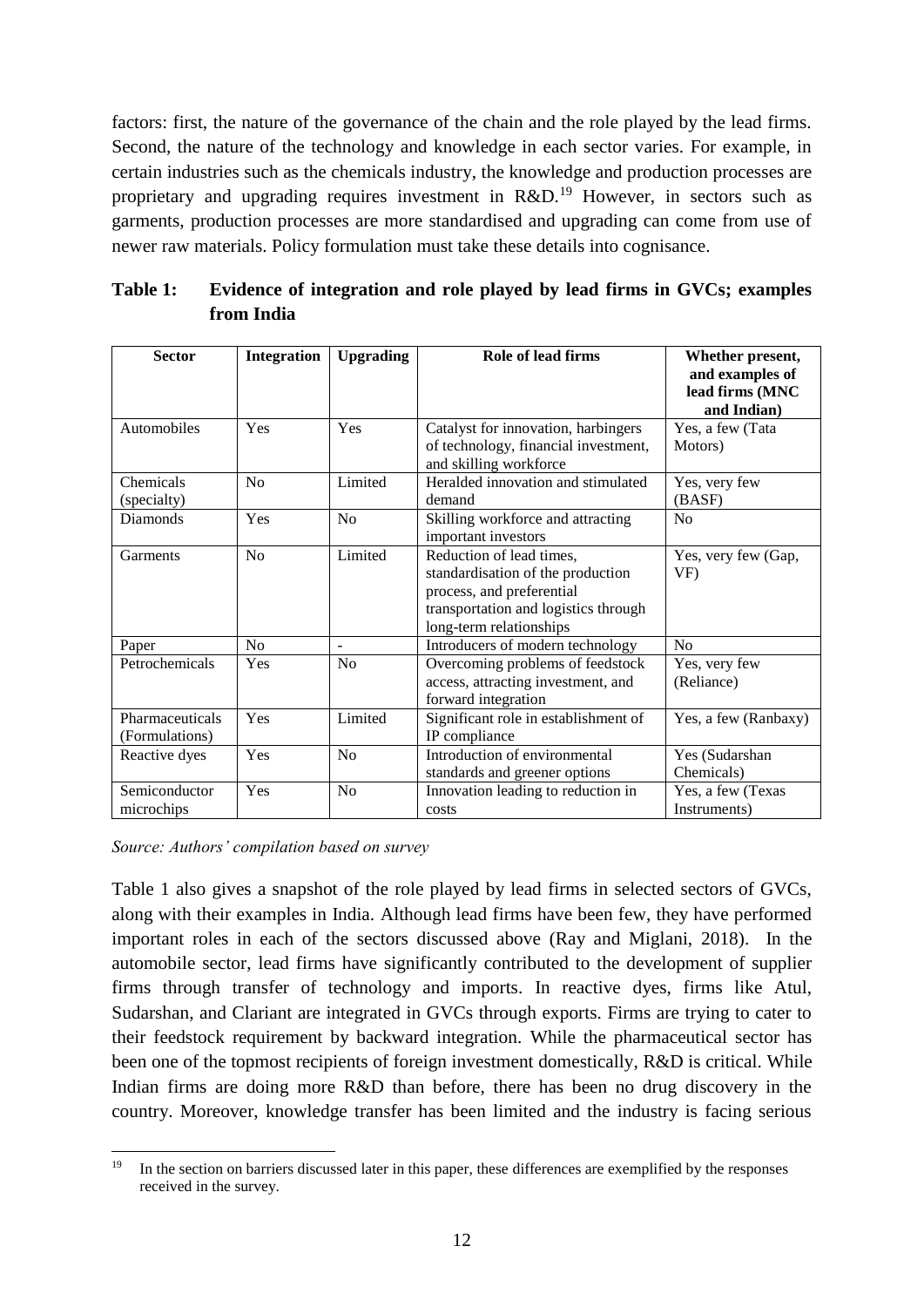factors: first, the nature of the governance of the chain and the role played by the lead firms. Second, the nature of the technology and knowledge in each sector varies. For example, in certain industries such as the chemicals industry, the knowledge and production processes are proprietary and upgrading requires investment in  $R&D<sup>19</sup>$  However, in sectors such as garments, production processes are more standardised and upgrading can come from use of newer raw materials. Policy formulation must take these details into cognisance.

| <b>Sector</b>                     | <b>Integration</b> | <b>Upgrading</b> | Role of lead firms                                                                                                                                            | Whether present,<br>and examples of<br>lead firms (MNC<br>and Indian) |
|-----------------------------------|--------------------|------------------|---------------------------------------------------------------------------------------------------------------------------------------------------------------|-----------------------------------------------------------------------|
| Automobiles                       | Yes                | Yes              | Catalyst for innovation, harbingers<br>of technology, financial investment,<br>and skilling workforce                                                         | Yes, a few (Tata<br>Motors)                                           |
| Chemicals<br>(specialty)          | No                 | Limited          | Heralded innovation and stimulated<br>demand                                                                                                                  | Yes, very few<br>(BASF)                                               |
| <b>Diamonds</b>                   | Yes                | No               | Skilling workforce and attracting<br>important investors                                                                                                      | No                                                                    |
| Garments                          | No                 | Limited          | Reduction of lead times,<br>standardisation of the production<br>process, and preferential<br>transportation and logistics through<br>long-term relationships | Yes, very few (Gap,<br>VF)                                            |
| Paper                             | No                 | ÷                | Introducers of modern technology                                                                                                                              | No                                                                    |
| Petrochemicals                    | Yes                | No               | Overcoming problems of feedstock<br>access, attracting investment, and<br>forward integration                                                                 | Yes, very few<br>(Reliance)                                           |
| Pharmaceuticals<br>(Formulations) | Yes                | Limited          | Significant role in establishment of<br>IP compliance                                                                                                         | Yes, a few (Ranbaxy)                                                  |
| Reactive dyes                     | Yes                | No               | Introduction of environmental<br>standards and greener options                                                                                                | Yes (Sudarshan<br>Chemicals)                                          |
| Semiconductor<br>microchips       | Yes                | No               | Innovation leading to reduction in<br>costs                                                                                                                   | Yes, a few (Texas<br>Instruments)                                     |

<span id="page-14-0"></span>

| Table 1: | Evidence of integration and role played by lead firms in GVCs; examples |
|----------|-------------------------------------------------------------------------|
|          | from India                                                              |

*Source: Authors' compilation based on survey* 

Table 1 also gives a snapshot of the role played by lead firms in selected sectors of GVCs, along with their examples in India. Although lead firms have been few, they have performed important roles in each of the sectors discussed above (Ray and Miglani, 2018). In the automobile sector, lead firms have significantly contributed to the development of supplier firms through transfer of technology and imports. In reactive dyes, firms like Atul, Sudarshan, and Clariant are integrated in GVCs through exports. Firms are trying to cater to their feedstock requirement by backward integration. While the pharmaceutical sector has been one of the topmost recipients of foreign investment domestically, R&D is critical. While Indian firms are doing more R&D than before, there has been no drug discovery in the country. Moreover, knowledge transfer has been limited and the industry is facing serious

 $19$ <sup>19</sup> In the section on barriers discussed later in this paper, these differences are exemplified by the responses received in the survey.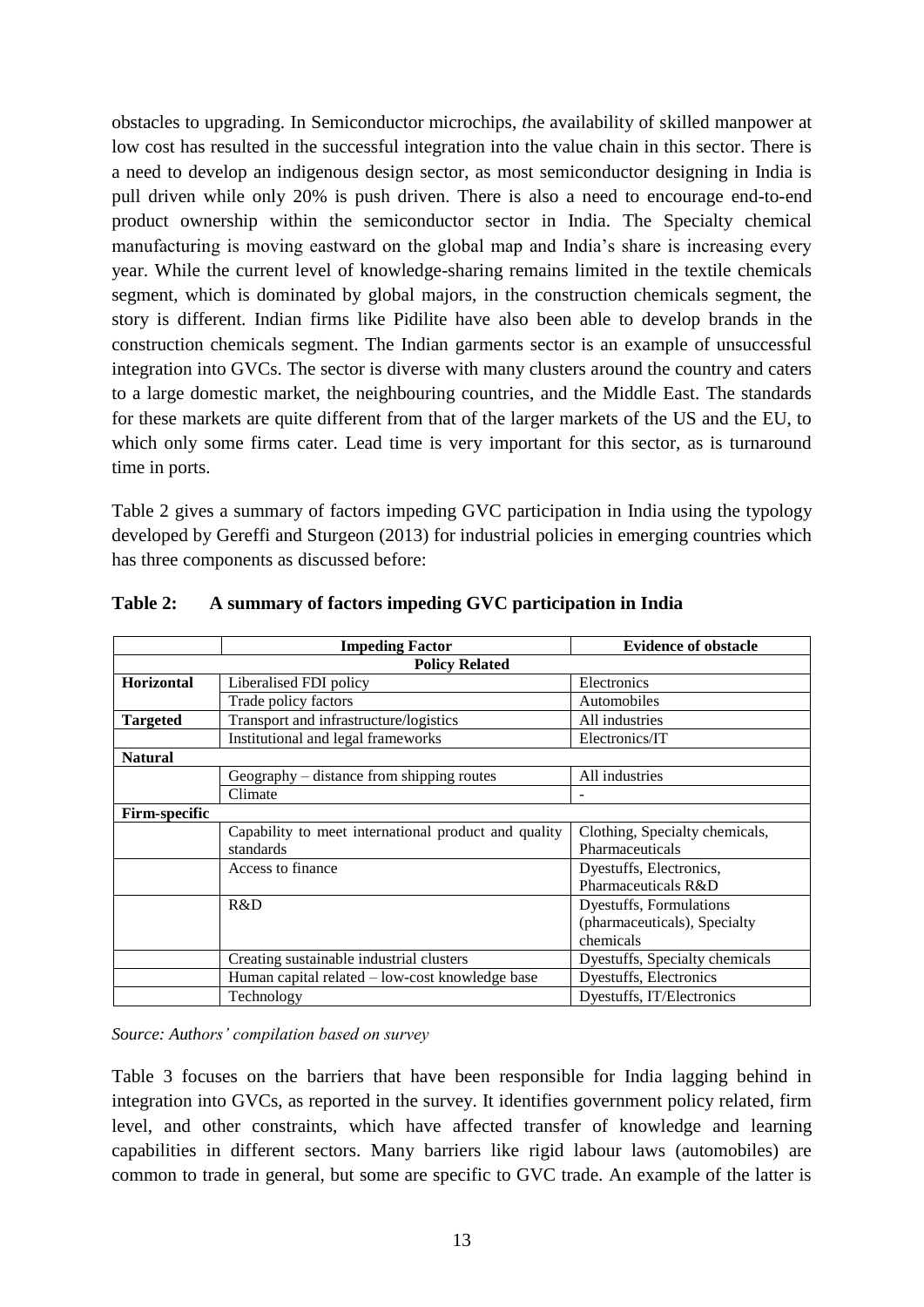obstacles to upgrading. In Semiconductor microchips, *t*he availability of skilled manpower at low cost has resulted in the successful integration into the value chain in this sector. There is a need to develop an indigenous design sector, as most semiconductor designing in India is pull driven while only 20% is push driven. There is also a need to encourage end-to-end product ownership within the semiconductor sector in India. The Specialty chemical manufacturing is moving eastward on the global map and India's share is increasing every year. While the current level of knowledge-sharing remains limited in the textile chemicals segment, which is dominated by global majors, in the construction chemicals segment, the story is different. Indian firms like Pidilite have also been able to develop brands in the construction chemicals segment. The Indian garments sector is an example of unsuccessful integration into GVCs. The sector is diverse with many clusters around the country and caters to a large domestic market, the neighbouring countries, and the Middle East. The standards for these markets are quite different from that of the larger markets of the US and the EU, to which only some firms cater. Lead time is very important for this sector, as is turnaround time in ports.

Table 2 gives a summary of factors impeding GVC participation in India using the typology developed by Gereffi and Sturgeon (2013) for industrial policies in emerging countries which has three components as discussed before:

|                      | <b>Impeding Factor</b>                               | <b>Evidence of obstacle</b>    |  |  |  |
|----------------------|------------------------------------------------------|--------------------------------|--|--|--|
|                      | <b>Policy Related</b>                                |                                |  |  |  |
| <b>Horizontal</b>    | Liberalised FDI policy                               | Electronics                    |  |  |  |
|                      | Trade policy factors                                 | Automobiles                    |  |  |  |
| <b>Targeted</b>      | Transport and infrastructure/logistics               | All industries                 |  |  |  |
|                      | Institutional and legal frameworks                   | Electronics/IT                 |  |  |  |
| <b>Natural</b>       |                                                      |                                |  |  |  |
|                      | Geography – distance from shipping routes            | All industries                 |  |  |  |
|                      | Climate                                              |                                |  |  |  |
| <b>Firm-specific</b> |                                                      |                                |  |  |  |
|                      | Capability to meet international product and quality | Clothing, Specialty chemicals, |  |  |  |
|                      | standards                                            | Pharmaceuticals                |  |  |  |
|                      | Access to finance                                    | Dyestuffs, Electronics,        |  |  |  |
|                      |                                                      | Pharmaceuticals R&D            |  |  |  |
|                      | R&D                                                  | Dyestuffs, Formulations        |  |  |  |
|                      |                                                      | (pharmaceuticals), Specialty   |  |  |  |
|                      |                                                      | chemicals                      |  |  |  |
|                      | Creating sustainable industrial clusters             | Dyestuffs, Specialty chemicals |  |  |  |
|                      | Human capital related – low-cost knowledge base      | Dyestuffs, Electronics         |  |  |  |
|                      | Technology                                           | Dyestuffs, IT/Electronics      |  |  |  |

<span id="page-15-0"></span>**Table 2: A summary of factors impeding GVC participation in India**

*Source: Authors' compilation based on survey* 

Table 3 focuses on the barriers that have been responsible for India lagging behind in integration into GVCs, as reported in the survey. It identifies government policy related, firm level, and other constraints, which have affected transfer of knowledge and learning capabilities in different sectors. Many barriers like rigid labour laws (automobiles) are common to trade in general, but some are specific to GVC trade. An example of the latter is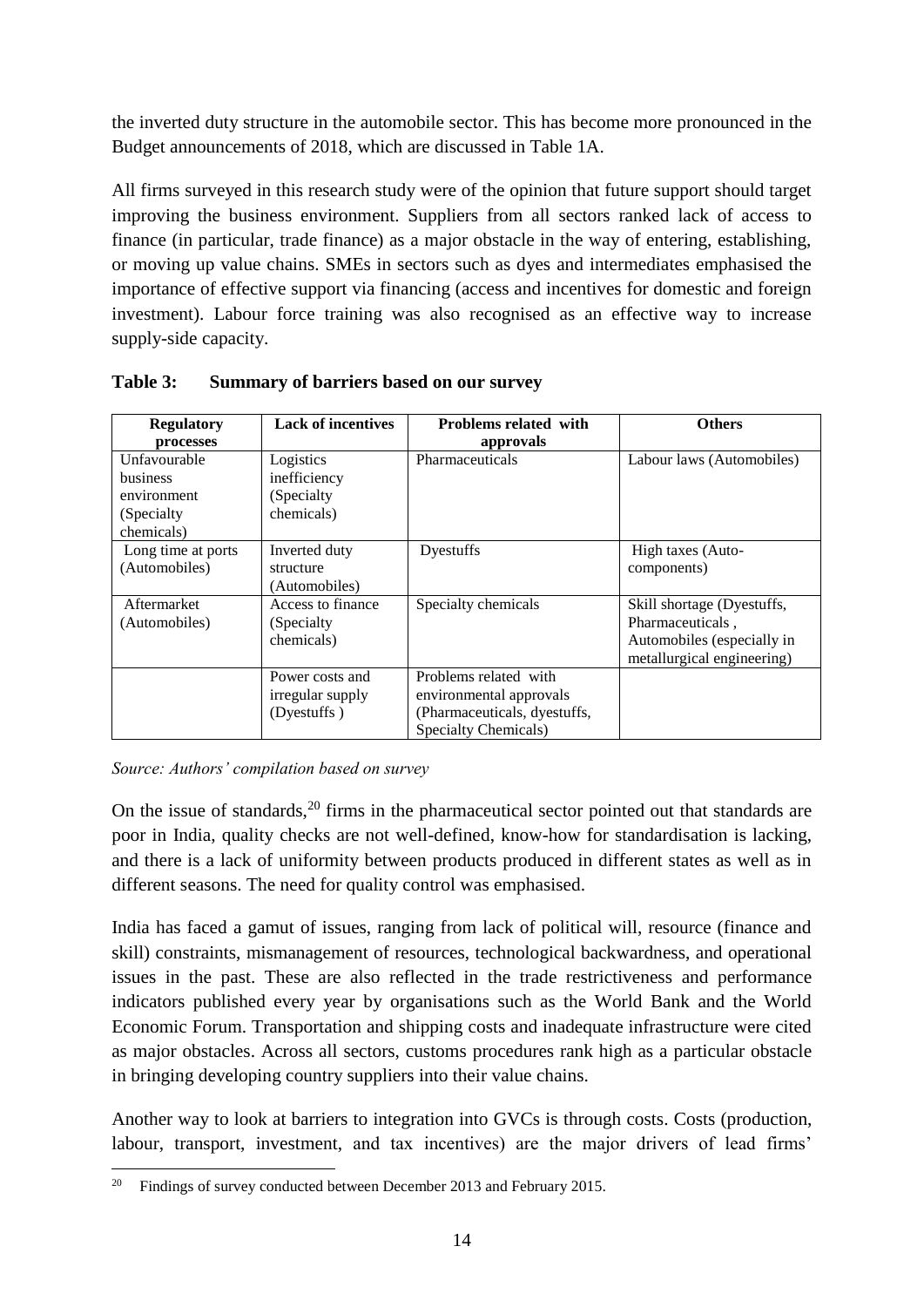the inverted duty structure in the automobile sector. This has become more pronounced in the Budget announcements of 2018, which are discussed in Table 1A.

All firms surveyed in this research study were of the opinion that future support should target improving the business environment. Suppliers from all sectors ranked lack of access to finance (in particular, trade finance) as a major obstacle in the way of entering, establishing, or moving up value chains. SMEs in sectors such as dyes and intermediates emphasised the importance of effective support via financing (access and incentives for domestic and foreign investment). Labour force training was also recognised as an effective way to increase supply-side capacity.

| <b>Regulatory</b>  | <b>Lack of incentives</b> | <b>Problems related with</b> | <b>Others</b>              |
|--------------------|---------------------------|------------------------------|----------------------------|
| processes          |                           | approvals                    |                            |
| Unfavourable       | Logistics                 | Pharmaceuticals              | Labour laws (Automobiles)  |
| <b>business</b>    | inefficiency              |                              |                            |
| environment        | (Specialty                |                              |                            |
| (Specialty)        | chemicals)                |                              |                            |
| chemicals)         |                           |                              |                            |
| Long time at ports | Inverted duty             | Dyestuffs                    | High taxes (Auto-          |
| (Automobiles)      | structure                 |                              | components)                |
|                    | (Automobiles)             |                              |                            |
| Aftermarket        | Access to finance         | Specialty chemicals          | Skill shortage (Dyestuffs, |
| (Automobiles)      | (Specialty)               |                              | Pharmaceuticals,           |
|                    | chemicals)                |                              | Automobiles (especially in |
|                    |                           |                              | metallurgical engineering) |
|                    | Power costs and           | Problems related with        |                            |
|                    | irregular supply          | environmental approvals      |                            |
|                    | (Dyestuffs)               | (Pharmaceuticals, dyestuffs, |                            |
|                    |                           | Specialty Chemicals)         |                            |

<span id="page-16-0"></span>**Table 3: Summary of barriers based on our survey**

*Source: Authors' compilation based on survey* 

On the issue of standards,  $20$  firms in the pharmaceutical sector pointed out that standards are poor in India, quality checks are not well-defined, know-how for standardisation is lacking, and there is a lack of uniformity between products produced in different states as well as in different seasons. The need for quality control was emphasised.

India has faced a gamut of issues, ranging from lack of political will, resource (finance and skill) constraints, mismanagement of resources, technological backwardness, and operational issues in the past. These are also reflected in the trade restrictiveness and performance indicators published every year by organisations such as the World Bank and the World Economic Forum. Transportation and shipping costs and inadequate infrastructure were cited as major obstacles. Across all sectors, customs procedures rank high as a particular obstacle in bringing developing country suppliers into their value chains.

Another way to look at barriers to integration into GVCs is through costs. Costs (production, labour, transport, investment, and tax incentives) are the major drivers of lead firms'

<sup>20</sup> <sup>20</sup> Findings of survey conducted between December 2013 and February 2015.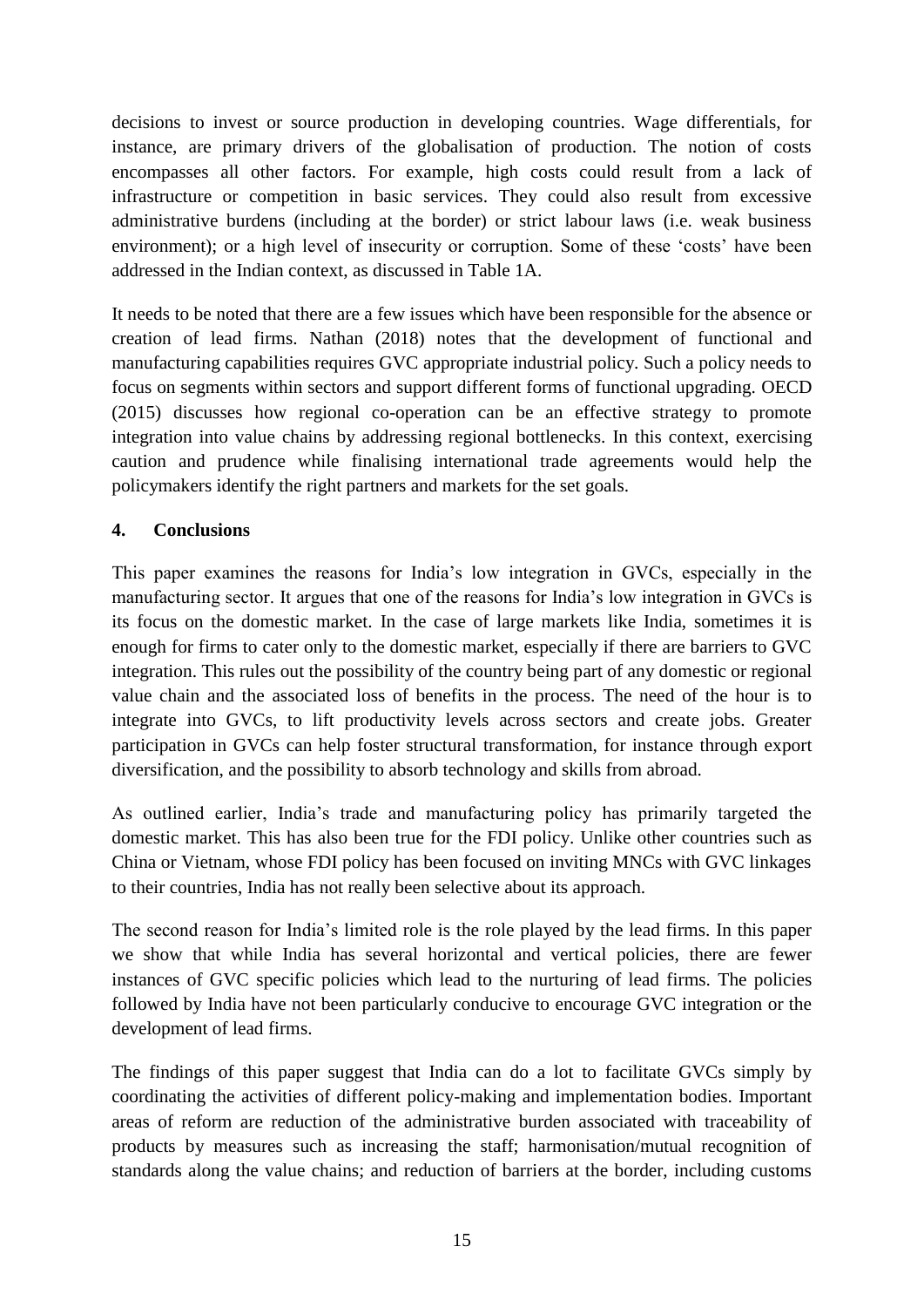decisions to invest or source production in developing countries. Wage differentials, for instance, are primary drivers of the globalisation of production. The notion of costs encompasses all other factors. For example, high costs could result from a lack of infrastructure or competition in basic services. They could also result from excessive administrative burdens (including at the border) or strict labour laws (i.e. weak business environment); or a high level of insecurity or corruption. Some of these 'costs' have been addressed in the Indian context, as discussed in Table 1A.

It needs to be noted that there are a few issues which have been responsible for the absence or creation of lead firms. Nathan (2018) notes that the development of functional and manufacturing capabilities requires GVC appropriate industrial policy. Such a policy needs to focus on segments within sectors and support different forms of functional upgrading. OECD (2015) discusses how regional co-operation can be an effective strategy to promote integration into value chains by addressing regional bottlenecks. In this context, exercising caution and prudence while finalising international trade agreements would help the policymakers identify the right partners and markets for the set goals.

#### <span id="page-17-0"></span>**4. Conclusions**

This paper examines the reasons for India's low integration in GVCs, especially in the manufacturing sector. It argues that one of the reasons for India's low integration in GVCs is its focus on the domestic market. In the case of large markets like India, sometimes it is enough for firms to cater only to the domestic market, especially if there are barriers to GVC integration. This rules out the possibility of the country being part of any domestic or regional value chain and the associated loss of benefits in the process. The need of the hour is to integrate into GVCs, to lift productivity levels across sectors and create jobs. Greater participation in GVCs can help foster structural transformation, for instance through export diversification, and the possibility to absorb technology and skills from abroad.

As outlined earlier, India's trade and manufacturing policy has primarily targeted the domestic market. This has also been true for the FDI policy. Unlike other countries such as China or Vietnam, whose FDI policy has been focused on inviting MNCs with GVC linkages to their countries, India has not really been selective about its approach.

The second reason for India's limited role is the role played by the lead firms. In this paper we show that while India has several horizontal and vertical policies, there are fewer instances of GVC specific policies which lead to the nurturing of lead firms. The policies followed by India have not been particularly conducive to encourage GVC integration or the development of lead firms.

The findings of this paper suggest that India can do a lot to facilitate GVCs simply by coordinating the activities of different policy-making and implementation bodies. Important areas of reform are reduction of the administrative burden associated with traceability of products by measures such as increasing the staff; harmonisation/mutual recognition of standards along the value chains; and reduction of barriers at the border, including customs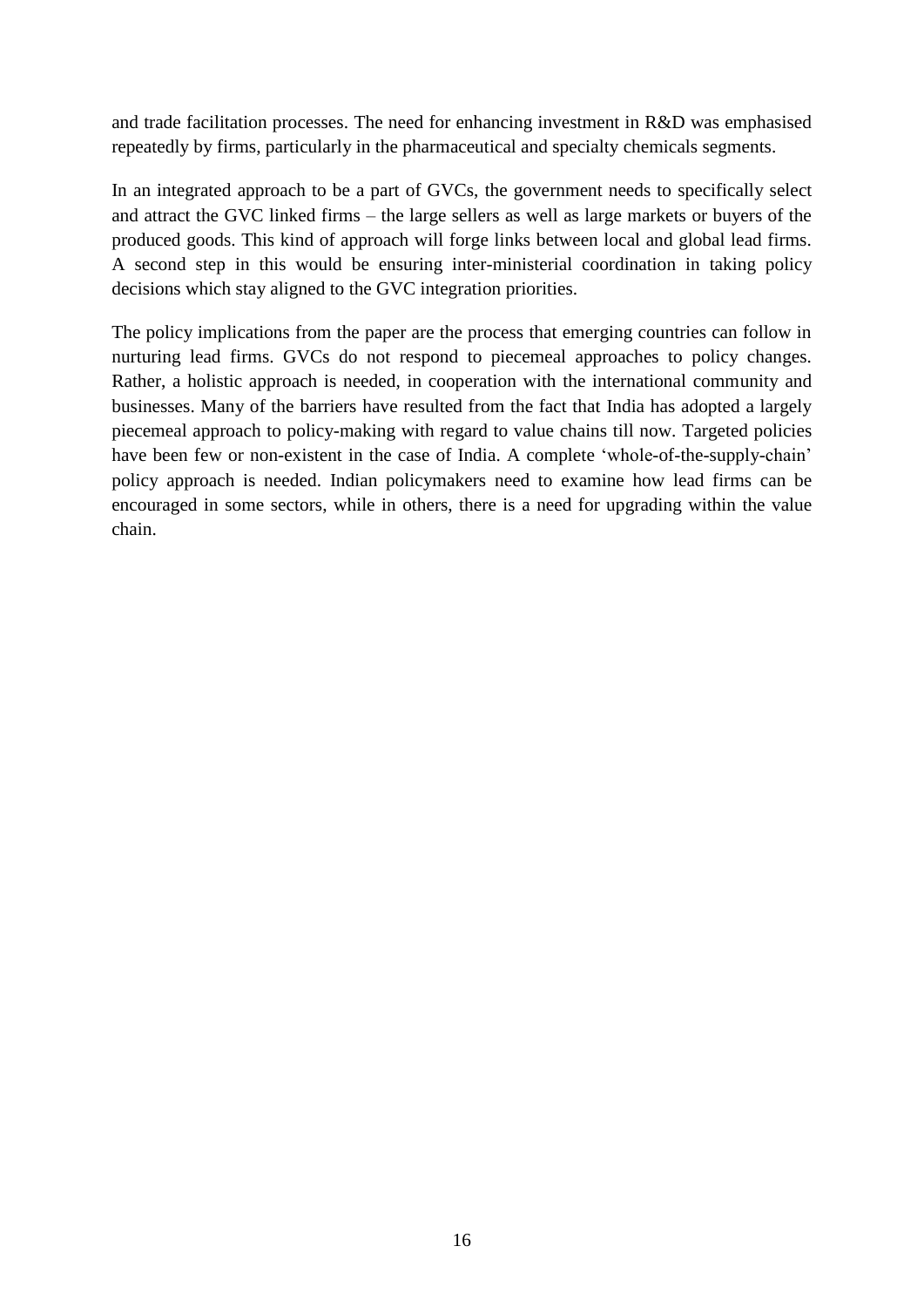and trade facilitation processes. The need for enhancing investment in R&D was emphasised repeatedly by firms, particularly in the pharmaceutical and specialty chemicals segments.

In an integrated approach to be a part of GVCs, the government needs to specifically select and attract the GVC linked firms – the large sellers as well as large markets or buyers of the produced goods. This kind of approach will forge links between local and global lead firms. A second step in this would be ensuring inter-ministerial coordination in taking policy decisions which stay aligned to the GVC integration priorities.

The policy implications from the paper are the process that emerging countries can follow in nurturing lead firms. GVCs do not respond to piecemeal approaches to policy changes. Rather, a holistic approach is needed, in cooperation with the international community and businesses. Many of the barriers have resulted from the fact that India has adopted a largely piecemeal approach to policy-making with regard to value chains till now. Targeted policies have been few or non-existent in the case of India. A complete 'whole-of-the-supply-chain' policy approach is needed. Indian policymakers need to examine how lead firms can be encouraged in some sectors, while in others, there is a need for upgrading within the value chain.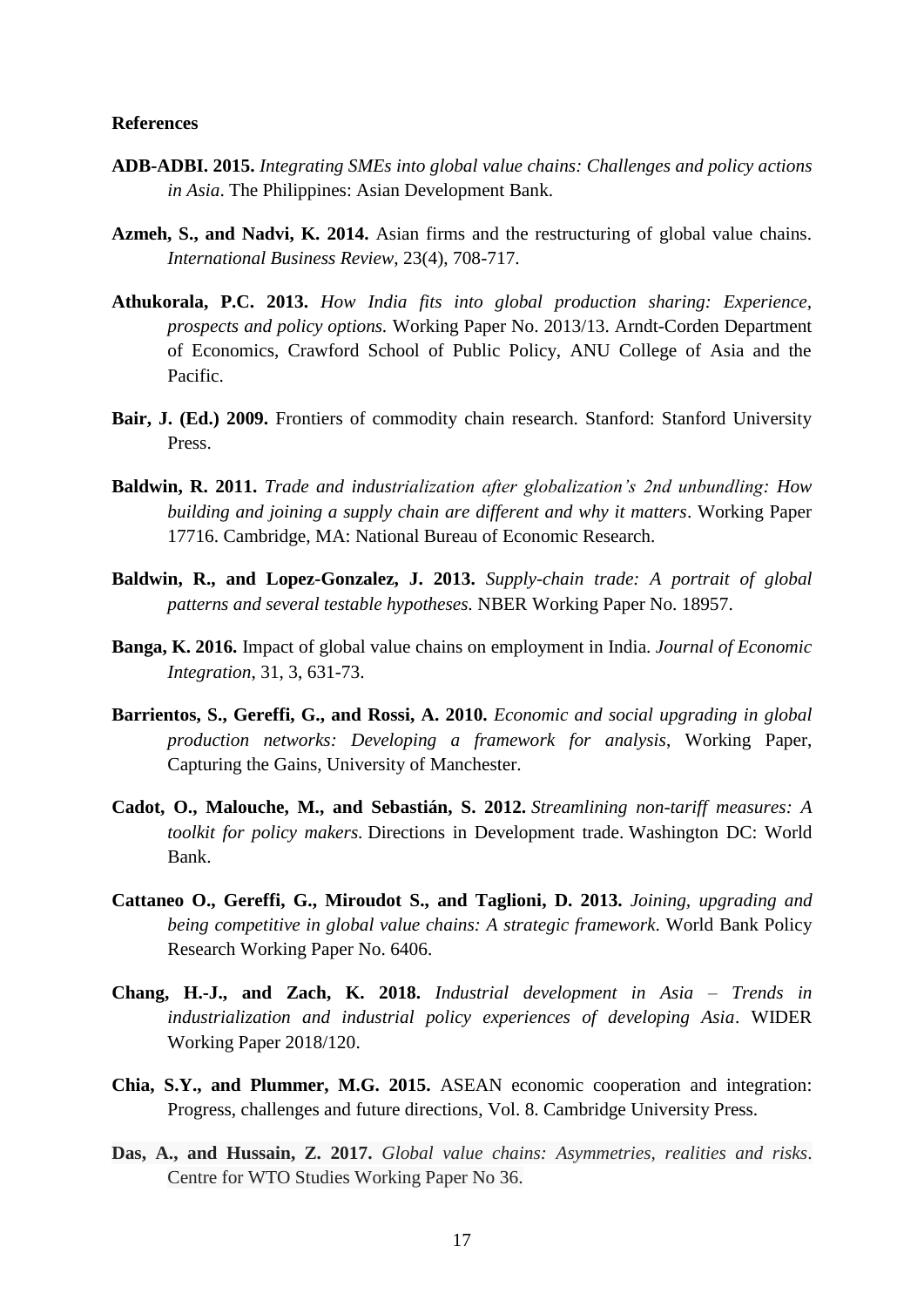#### <span id="page-19-0"></span>**References**

- **ADB-ADBI. 2015.** *Integrating SMEs into global value chains: Challenges and policy actions in Asia*. The Philippines: Asian Development Bank.
- **Azmeh, S., and Nadvi, K. 2014.** Asian firms and the restructuring of global value chains. *International Business Review*, 23(4), 708-717.
- **Athukorala, P.C. 2013.** *How India fits into global production sharing: Experience, prospects and policy options.* Working Paper No. 2013/13. Arndt-Corden Department of Economics, Crawford School of Public Policy, ANU College of Asia and the Pacific.
- **Bair, J. (Ed.) 2009.** Frontiers of commodity chain research. Stanford: Stanford University Press.
- **Baldwin, R. 2011.** *Trade and industrialization after globalization's 2nd unbundling: How building and joining a supply chain are different and why it matters*. Working Paper 17716. Cambridge, MA: National Bureau of Economic Research.
- **Baldwin, R., and Lopez-Gonzalez, J. 2013.** *Supply-chain trade: A portrait of global patterns and several testable hypotheses.* NBER Working Paper No. 18957.
- **Banga, K. 2016.** Impact of global value chains on employment in India. *Journal of Economic Integration*, 31, 3, 631-73.
- **Barrientos, S., Gereffi, G., and Rossi, A. 2010.** *Economic and social upgrading in global production networks: Developing a framework for analysis*, Working Paper, Capturing the Gains, University of Manchester.
- **Cadot, O., Malouche, M., and Sebastián, S. 2012.** *Streamlining non-tariff measures: A toolkit for policy makers.* Directions in Development trade. Washington DC: World Bank.
- **Cattaneo O., Gereffi, G., Miroudot S., and Taglioni, D. 2013.** *Joining, upgrading and being competitive in global value chains: A strategic framework*. World Bank Policy Research Working Paper No. 6406.
- **Chang, H.-J., and Zach, K. 2018.** *Industrial development in Asia – Trends in industrialization and industrial policy experiences of developing Asia*. WIDER Working Paper 2018/120.
- **Chia, S.Y., and Plummer, M.G. 2015.** ASEAN economic cooperation and integration: Progress, challenges and future directions, Vol. 8. Cambridge University Press.
- **Das, A., and Hussain, Z. 2017.** *Global value chains: Asymmetries, realities and risks*. Centre for WTO Studies Working Paper No 36.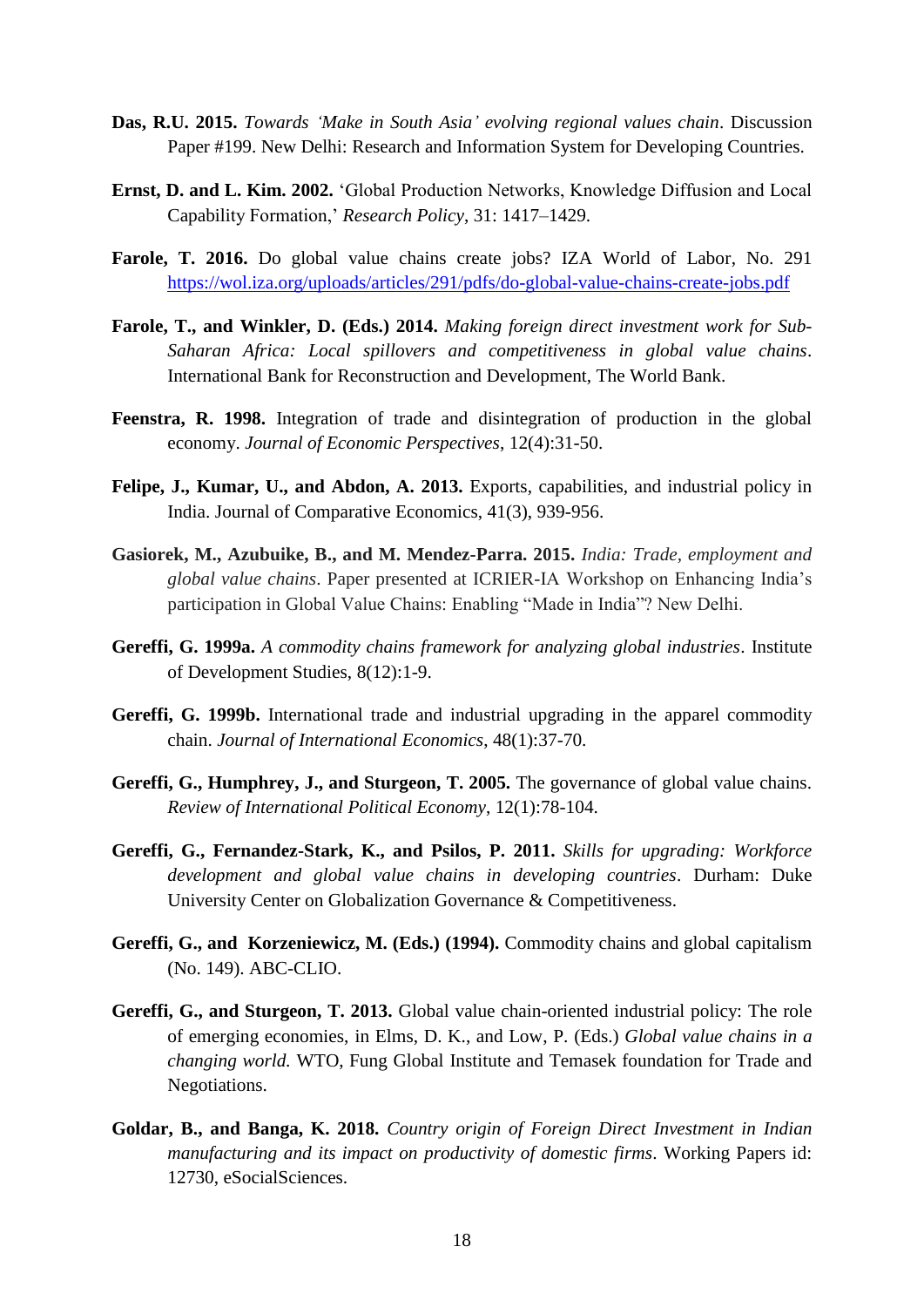- **Das, R.U. 2015.** *Towards 'Make in South Asia' evolving regional values chain*. Discussion Paper #199. New Delhi: Research and Information System for Developing Countries.
- **Ernst, D. and L. Kim. 2002.** 'Global Production Networks, Knowledge Diffusion and Local Capability Formation,' *Research Policy*, 31: 1417–1429.
- **Farole, T. 2016.** Do global value chains create jobs? IZA World of Labor, No. 291 <https://wol.iza.org/uploads/articles/291/pdfs/do-global-value-chains-create-jobs.pdf>
- **Farole, T., and Winkler, D. (Eds.) 2014.** *Making foreign direct investment work for Sub-Saharan Africa: Local spillovers and competitiveness in global value chains*. International Bank for Reconstruction and Development, The World Bank.
- **Feenstra, R. 1998.** Integration of trade and disintegration of production in the global economy. *Journal of Economic Perspectives*, 12(4):31-50.
- **Felipe, J., Kumar, U., and Abdon, A. 2013.** Exports, capabilities, and industrial policy in India. Journal of Comparative Economics, 41(3), 939-956.
- **Gasiorek, M., Azubuike, B., and M. Mendez-Parra. 2015.** *India: Trade, employment and global value chains*. Paper presented at ICRIER-IA Workshop on Enhancing India's participation in Global Value Chains: Enabling "Made in India"? New Delhi.
- **Gereffi, G. 1999a.** *A commodity chains framework for analyzing global industries*. Institute of Development Studies, 8(12):1-9.
- **Gereffi, G. 1999b.** International trade and industrial upgrading in the apparel commodity chain. *Journal of International Economics*, 48(1):37-70.
- **Gereffi, G., Humphrey, J., and Sturgeon, T. 2005.** The governance of global value chains. *Review of International Political Economy*, 12(1):78-104.
- **Gereffi, G., Fernandez-Stark, K., and Psilos, P. 2011.** *Skills for upgrading: Workforce development and global value chains in developing countries*. Durham: Duke University Center on Globalization Governance & Competitiveness.
- **Gereffi, G., and Korzeniewicz, M. (Eds.) (1994).** Commodity chains and global capitalism (No. 149). ABC-CLIO.
- **Gereffi, G., and Sturgeon, T. 2013.** Global value chain-oriented industrial policy: The role of emerging economies, in Elms, D. K., and Low, P. (Eds.) *Global value chains in a changing world.* WTO, Fung Global Institute and Temasek foundation for Trade and Negotiations.
- **Goldar, B., and Banga, K. 2018.** *Country origin of Foreign Direct Investment in Indian manufacturing and its impact on productivity of domestic firms*. Working Papers id: 12730, eSocialSciences.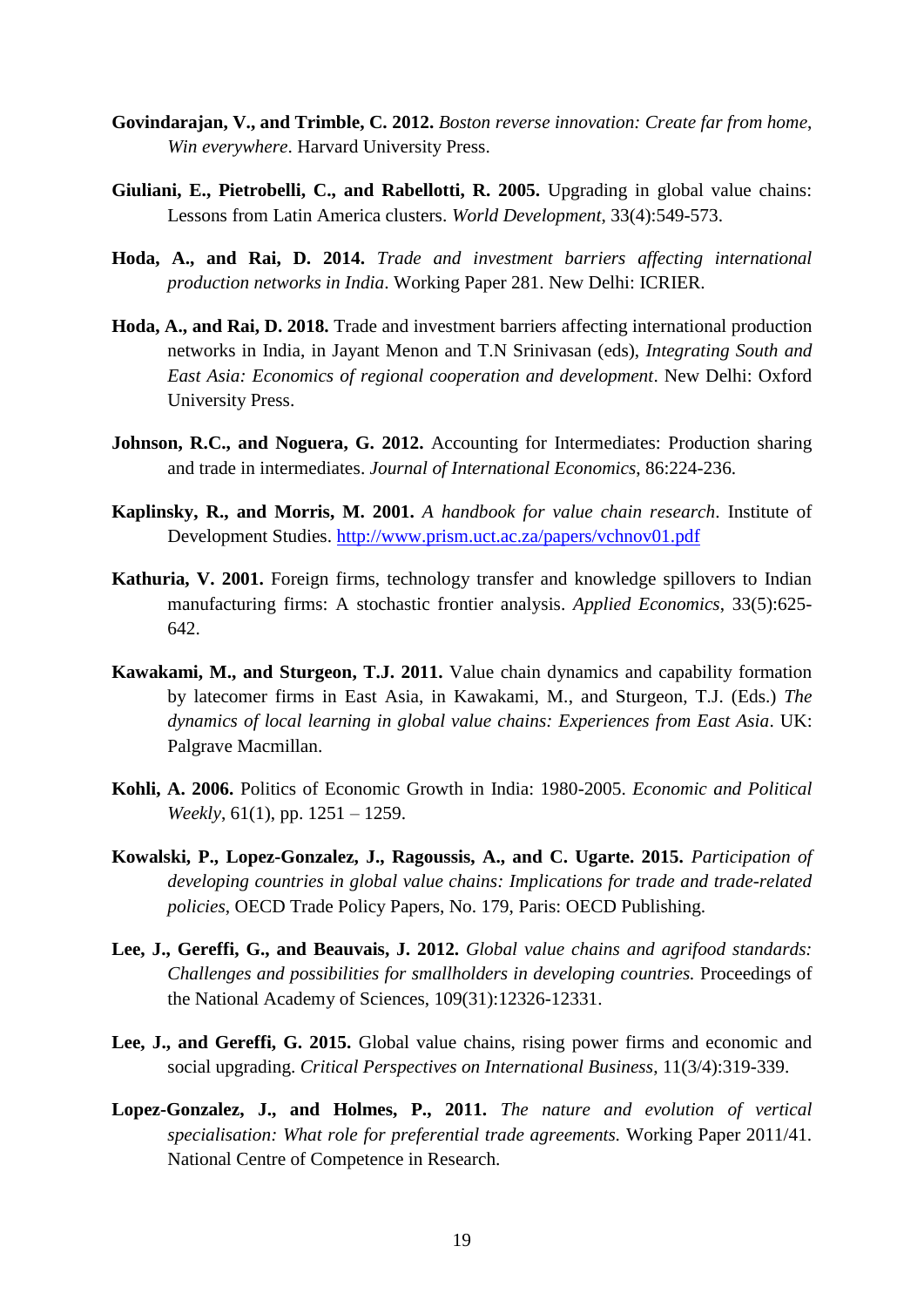- **Govindarajan, V., and Trimble, C. 2012.** *Boston reverse innovation: Create far from home*, *Win everywhere*. Harvard University Press.
- **Giuliani, E., Pietrobelli, C., and Rabellotti, R. 2005.** Upgrading in global value chains: Lessons from Latin America clusters. *World Development*, 33(4):549-573.
- **Hoda, A., and Rai, D. 2014.** *Trade and investment barriers affecting international production networks in India*. Working Paper 281. New Delhi: ICRIER.
- **Hoda, A., and Rai, D. 2018.** Trade and investment barriers affecting international production networks in India, in Jayant Menon and T.N Srinivasan (eds), *Integrating South and East Asia: Economics of regional cooperation and development*. New Delhi: Oxford University Press.
- Johnson, R.C., and Noguera, G. 2012. Accounting for Intermediates: Production sharing and trade in intermediates. *Journal of International Economics*, 86:224-236.
- **Kaplinsky, R., and Morris, M. 2001.** *A handbook for value chain research*. Institute of Development Studies.<http://www.prism.uct.ac.za/papers/vchnov01.pdf>
- **Kathuria, V. 2001.** Foreign firms, technology transfer and knowledge spillovers to Indian manufacturing firms: A stochastic frontier analysis. *Applied Economics*, 33(5):625- 642.
- **Kawakami, M., and Sturgeon, T.J. 2011.** Value chain dynamics and capability formation by latecomer firms in East Asia, in Kawakami, M., and Sturgeon, T.J. (Eds.) *The dynamics of local learning in global value chains: Experiences from East Asia*. UK: Palgrave Macmillan.
- **Kohli, A. 2006.** Politics of Economic Growth in India: 1980-2005. *Economic and Political Weekly*, 61(1), pp. 1251 – 1259.
- **Kowalski, P., Lopez-Gonzalez, J., Ragoussis, A., and C. Ugarte. 2015.** *Participation of developing countries in global value chains: Implications for trade and trade-related policies*, OECD Trade Policy Papers, No. 179, Paris: OECD Publishing.
- **Lee, J., Gereffi, G., and Beauvais, J. 2012.** *Global value chains and agrifood standards: Challenges and possibilities for smallholders in developing countries.* Proceedings of the National Academy of Sciences, 109(31):12326-12331.
- **Lee, J., and Gereffi, G. 2015.** Global value chains, rising power firms and economic and social upgrading. *Critical Perspectives on International Business*, 11(3/4):319-339.
- **Lopez-Gonzalez, J., and Holmes, P., 2011.** *The nature and evolution of vertical specialisation: What role for preferential trade agreements.* Working Paper 2011/41. National Centre of Competence in Research.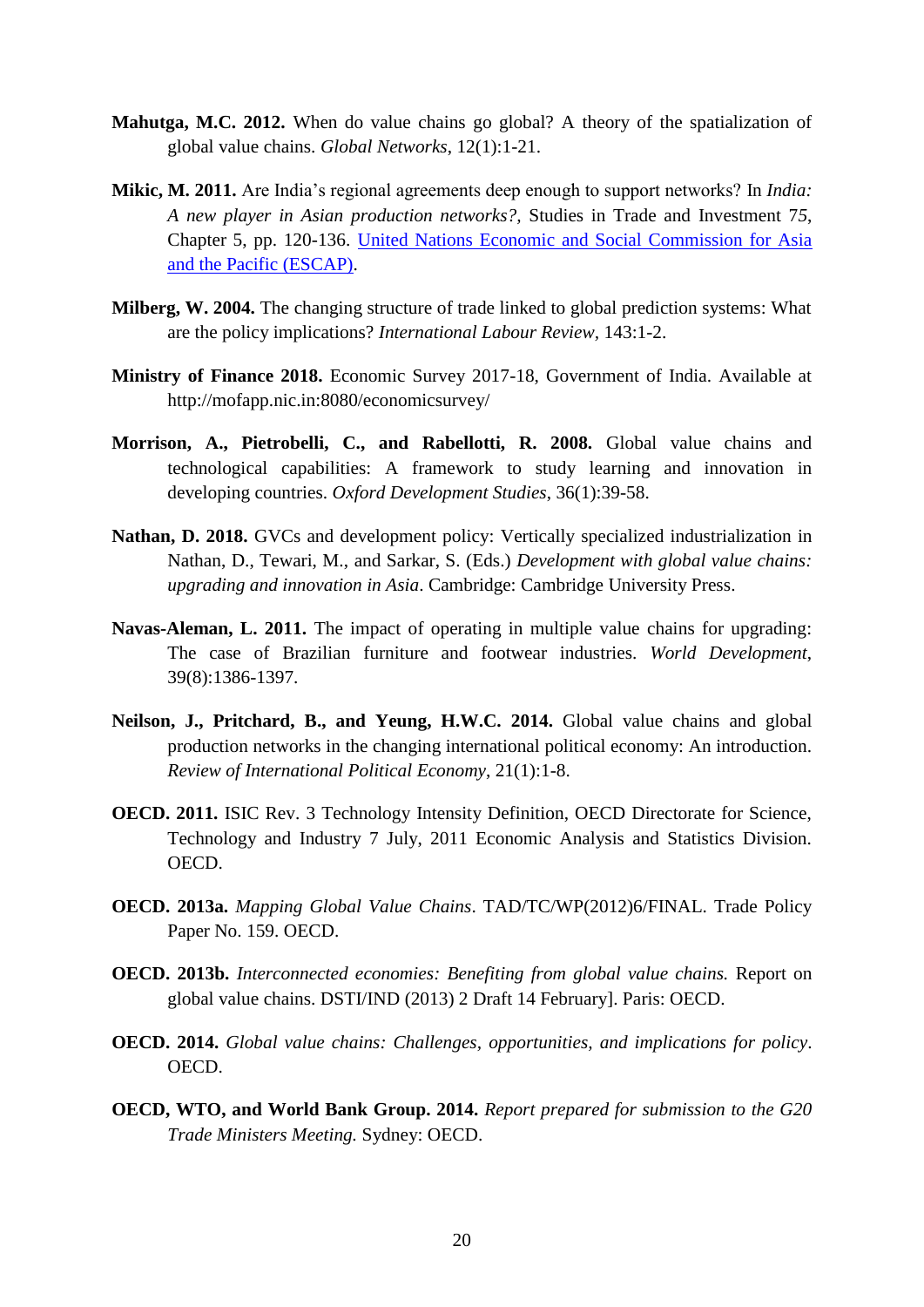- **Mahutga, M.C. 2012.** When do value chains go global? A theory of the spatialization of global value chains. *Global Networks*, 12(1):1-21.
- **Mikic, M. 2011.** Are India's regional agreements deep enough to support networks? In *India: A new player in Asian production networks?,* Studies in Trade and Investment 7*5*, Chapter 5, pp. 120-136. [United Nations Economic and Social Commission for Asia](http://www.unescap.org/)  [and the Pacific \(ESCAP\).](http://www.unescap.org/)
- **Milberg, W. 2004.** The changing structure of trade linked to global prediction systems: What are the policy implications? *International Labour Review,* 143:1-2.
- **Ministry of Finance 2018.** Economic Survey 2017-18, Government of India. Available at http://mofapp.nic.in:8080/economicsurvey/
- **Morrison, A., Pietrobelli, C., and Rabellotti, R. 2008.** Global value chains and technological capabilities: A framework to study learning and innovation in developing countries. *Oxford Development Studies*, 36(1):39-58.
- **Nathan, D. 2018.** GVCs and development policy: Vertically specialized industrialization in Nathan, D., Tewari, M., and Sarkar, S. (Eds.) *Development with global value chains: upgrading and innovation in Asia*. Cambridge: Cambridge University Press.
- **Navas-Aleman, L. 2011.** The impact of operating in multiple value chains for upgrading: The case of Brazilian furniture and footwear industries. *World Development*, 39(8):1386-1397.
- **Neilson, J., Pritchard, B., and Yeung, H.W.C. 2014.** Global value chains and global production networks in the changing international political economy: An introduction. *Review of International Political Economy*, 21(1):1-8.
- **OECD. 2011.** ISIC Rev. 3 Technology Intensity Definition, OECD Directorate for Science, Technology and Industry 7 July, 2011 Economic Analysis and Statistics Division. OECD.
- **OECD. 2013a.** *Mapping Global Value Chains*. TAD/TC/WP(2012)6/FINAL. Trade Policy Paper No. 159. OECD.
- **OECD. 2013b.** *Interconnected economies: Benefiting from global value chains.* Report on global value chains. DSTI/IND (2013) 2 Draft 14 February]. Paris: OECD.
- **OECD. 2014.** *Global value chains: Challenges, opportunities, and implications for policy*. OECD.
- **OECD, WTO, and World Bank Group. 2014.** *Report prepared for submission to the G20 Trade Ministers Meeting.* Sydney: OECD.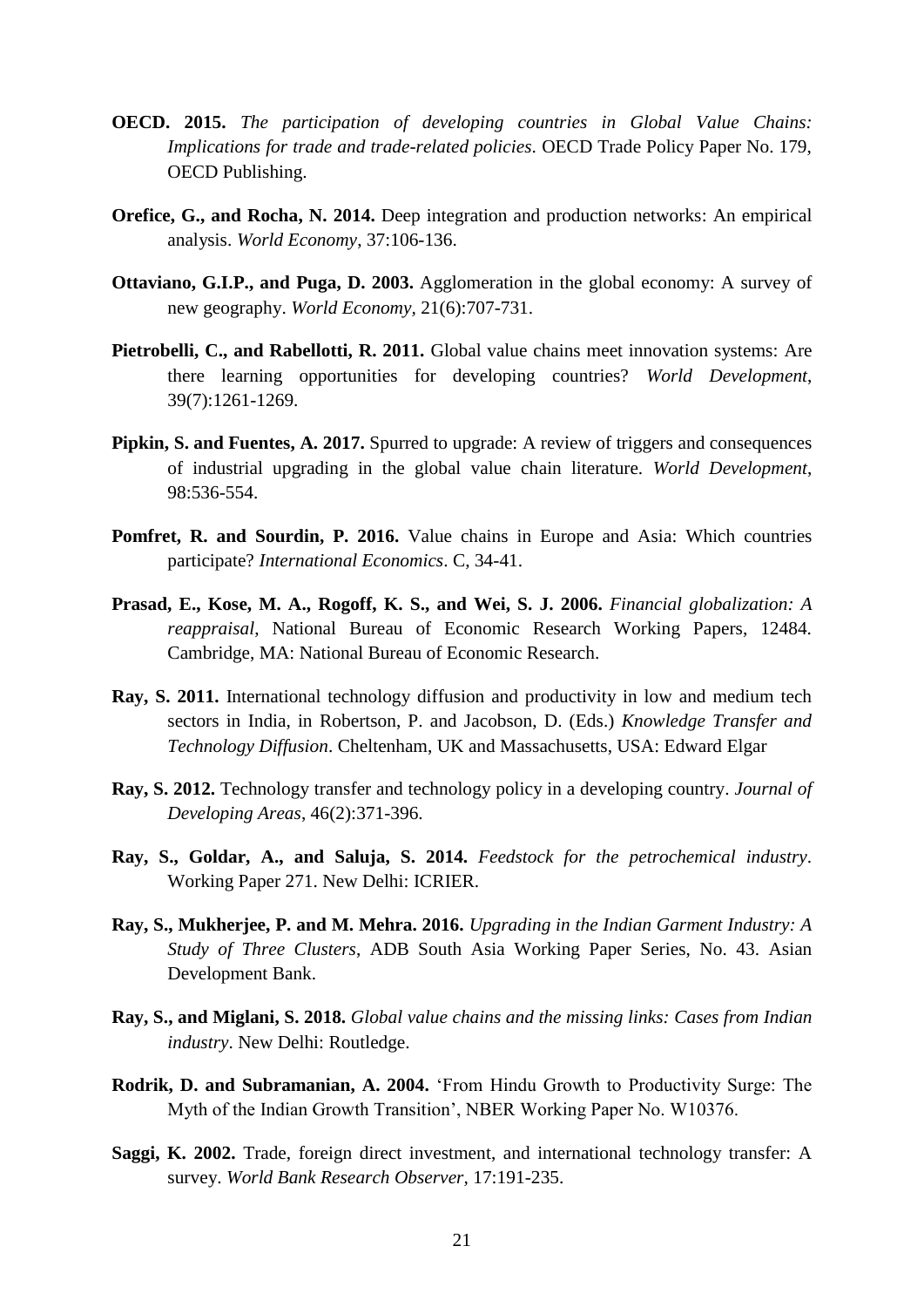- **OECD. 2015.** *The participation of developing countries in Global Value Chains: Implications for trade and trade-related policies*. OECD Trade Policy Paper No. 179, OECD Publishing.
- **Orefice, G., and Rocha, N. 2014.** Deep integration and production networks: An empirical analysis. *World Economy*, 37:106-136.
- **Ottaviano, G.I.P., and Puga, D. 2003.** Agglomeration in the global economy: A survey of new geography. *World Economy,* 21(6):707-731.
- **Pietrobelli, C., and Rabellotti, R. 2011.** Global value chains meet innovation systems: Are there learning opportunities for developing countries? *World Development*, 39(7):1261-1269.
- **Pipkin, S. and Fuentes, A. 2017.** Spurred to upgrade: A review of triggers and consequences of industrial upgrading in the global value chain literature. *World Development*, 98:536-554.
- **Pomfret, R. and Sourdin, P. 2016.** Value chains in Europe and Asia: Which countries participate? *International Economics*. C, 34-41.
- **Prasad, E., Kose, M. A., Rogoff, K. S., and Wei, S. J. 2006.** *Financial globalization: A reappraisal*, National Bureau of Economic Research Working Papers, 12484. Cambridge, MA: National Bureau of Economic Research.
- **Ray, S. 2011.** International technology diffusion and productivity in low and medium tech sectors in India, in Robertson, P. and Jacobson, D. (Eds.) *Knowledge Transfer and Technology Diffusion*. Cheltenham, UK and Massachusetts, USA: Edward Elgar
- **Ray, S. 2012.** Technology transfer and technology policy in a developing country. *Journal of Developing Areas*, 46(2):371-396.
- **Ray, S., Goldar, A., and Saluja, S. 2014.** *Feedstock for the petrochemical industry*. Working Paper 271. New Delhi: ICRIER.
- **Ray, S., Mukherjee, P. and M. Mehra. 2016.** *Upgrading in the Indian Garment Industry: A Study of Three Clusters*, ADB South Asia Working Paper Series, No. 43. Asian Development Bank.
- **Ray, S., and Miglani, S. 2018.** *Global value chains and the missing links: Cases from Indian industry*. New Delhi: Routledge.
- **Rodrik, D. and Subramanian, A. 2004.** 'From Hindu Growth to Productivity Surge: The Myth of the Indian Growth Transition', NBER Working Paper No. W10376.
- **Saggi, K. 2002.** Trade, foreign direct investment, and international technology transfer: A survey. *World Bank Research Observer,* 17:191-235.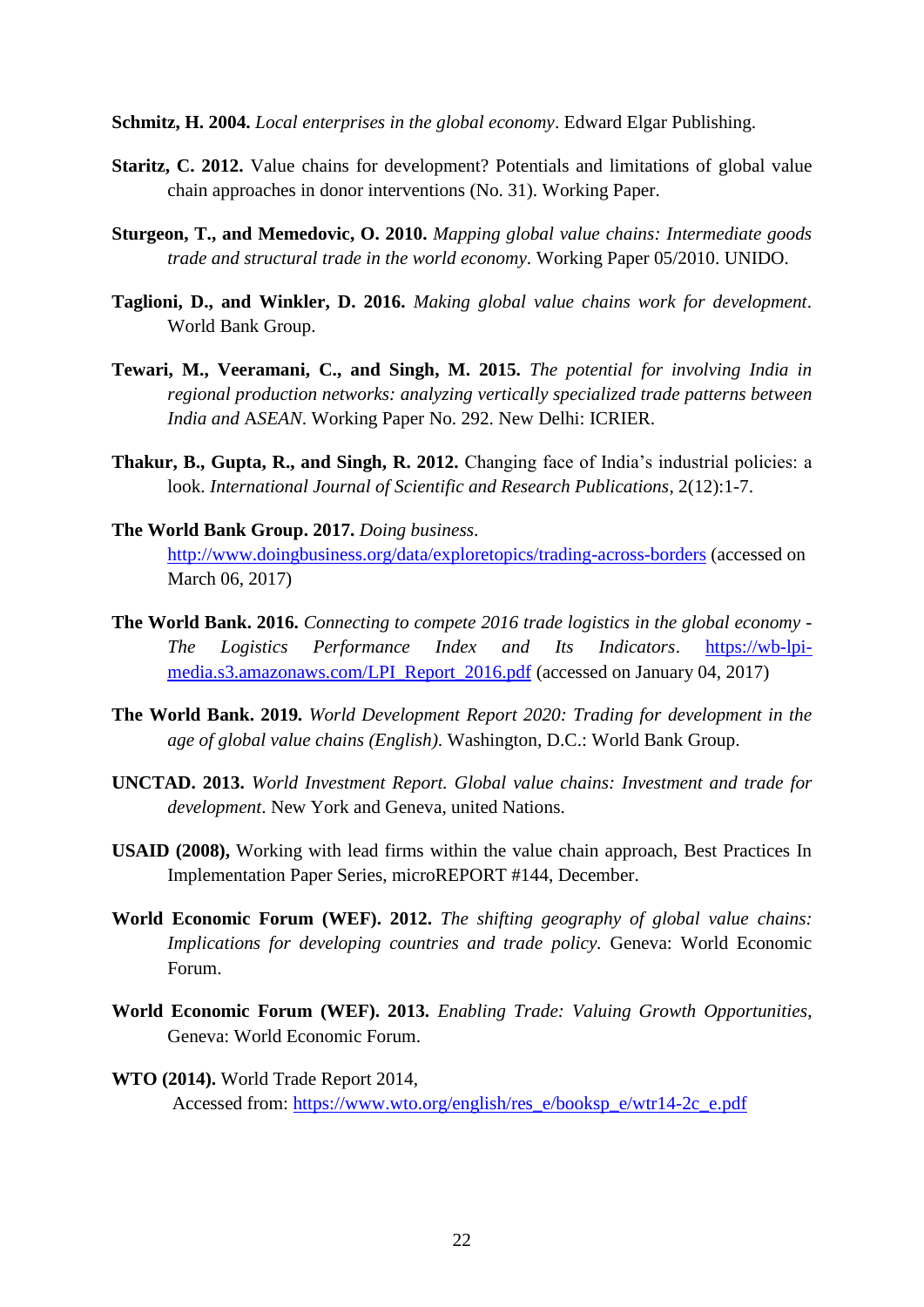**Schmitz, H. 2004.** *Local enterprises in the global economy*. Edward Elgar Publishing.

- **Staritz, C. 2012.** Value chains for development? Potentials and limitations of global value chain approaches in donor interventions (No. 31). Working Paper.
- **Sturgeon, T., and Memedovic, O. 2010.** *Mapping global value chains: Intermediate goods trade and structural trade in the world economy*. Working Paper 05/2010. UNIDO.
- **Taglioni, D., and Winkler, D. 2016.** *Making global value chains work for development*. World Bank Group.
- **Tewari, M., Veeramani, C., and Singh, M. 2015.** *The potential for involving India in regional production networks: analyzing vertically specialized trade patterns between India and* A*SEAN*. Working Paper No. 292. New Delhi: ICRIER.
- **Thakur, B., Gupta, R., and Singh, R. 2012.** Changing face of India's industrial policies: a look. *International Journal of Scientific and Research Publications*, 2(12):1-7.
- **The World Bank Group. 2017.** *Doing business*. <http://www.doingbusiness.org/data/exploretopics/trading-across-borders> (accessed on March 06, 2017)
- **The World Bank. 2016.** *Connecting to compete 2016 trade logistics in the global economy - The Logistics Performance Index and Its Indicators*. [https://wb-lpi](https://wb-lpi-media.s3.amazonaws.com/LPI_Report_2016.pdf)[media.s3.amazonaws.com/LPI\\_Report\\_2016.pdf](https://wb-lpi-media.s3.amazonaws.com/LPI_Report_2016.pdf) (accessed on January 04, 2017)
- **The World Bank. 2019.** *World Development Report 2020: Trading for development in the age of global value chains (English)*. Washington, D.C.: World Bank Group.
- **UNCTAD. 2013.** *World Investment Report. Global value chains: Investment and trade for development*. New York and Geneva, united Nations.
- **USAID (2008),** Working with lead firms within the value chain approach, Best Practices In Implementation Paper Series, microREPORT #144, December.
- **World Economic Forum (WEF). 2012.** *The shifting geography of global value chains: Implications for developing countries and trade policy.* Geneva: World Economic Forum.
- **World Economic Forum (WEF). 2013.** *Enabling Trade: Valuing Growth Opportunities*, Geneva: World Economic Forum.
- **WTO (2014).** World Trade Report 2014, Accessed from: [https://www.wto.org/english/res\\_e/booksp\\_e/wtr14-2c\\_e.pdf](https://www.wto.org/english/res_e/booksp_e/wtr14-2c_e.pdf)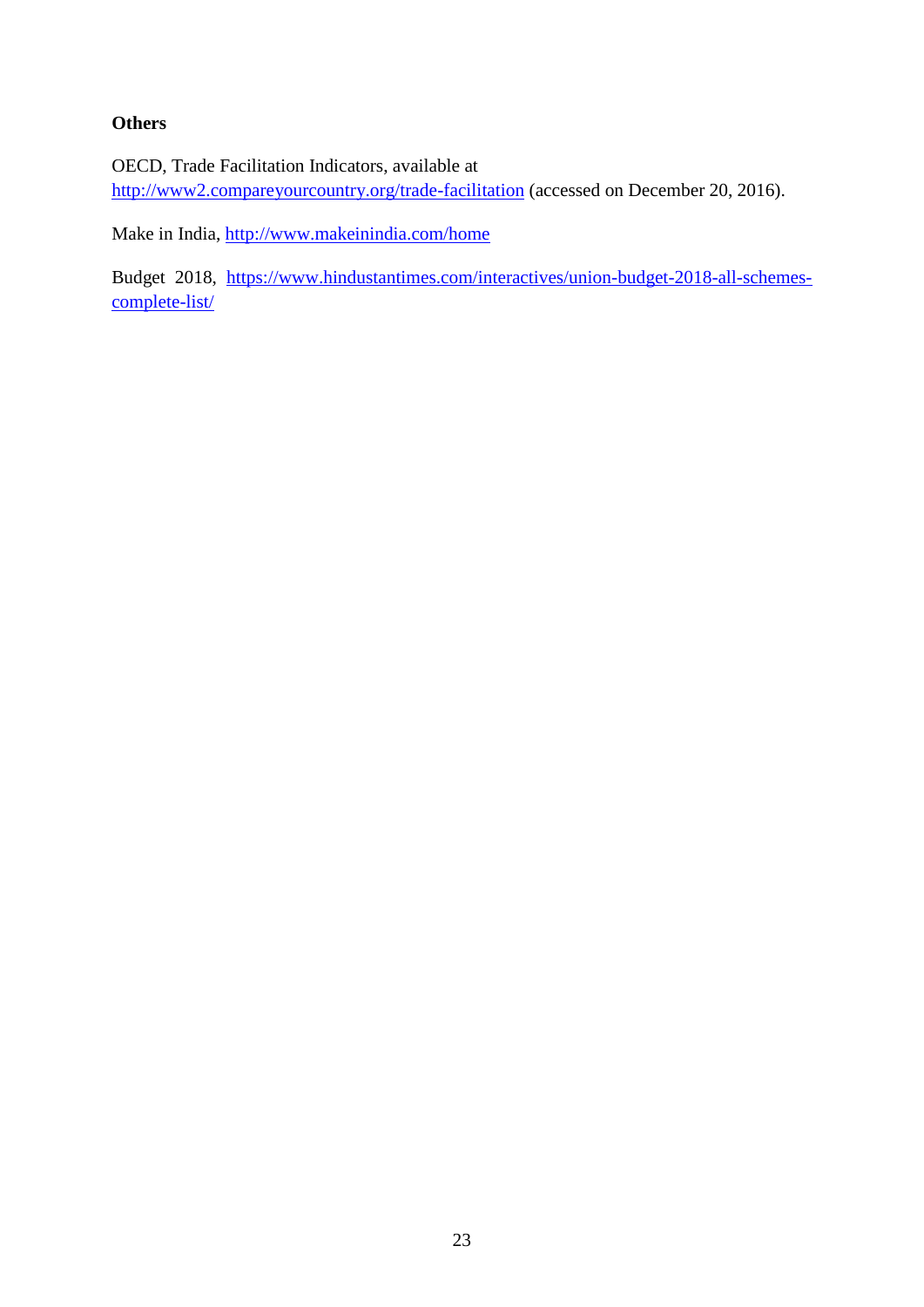#### **Others**

OECD, Trade Facilitation Indicators, available at <http://www2.compareyourcountry.org/trade-facilitation> (accessed on December 20, 2016).

Make in India,<http://www.makeinindia.com/home>

Budget 2018, [https://www.hindustantimes.com/interactives/union-budget-2018-all-schemes](https://www.hindustantimes.com/interactives/union-budget-2018-all-schemes-complete-list/)[complete-list/](https://www.hindustantimes.com/interactives/union-budget-2018-all-schemes-complete-list/)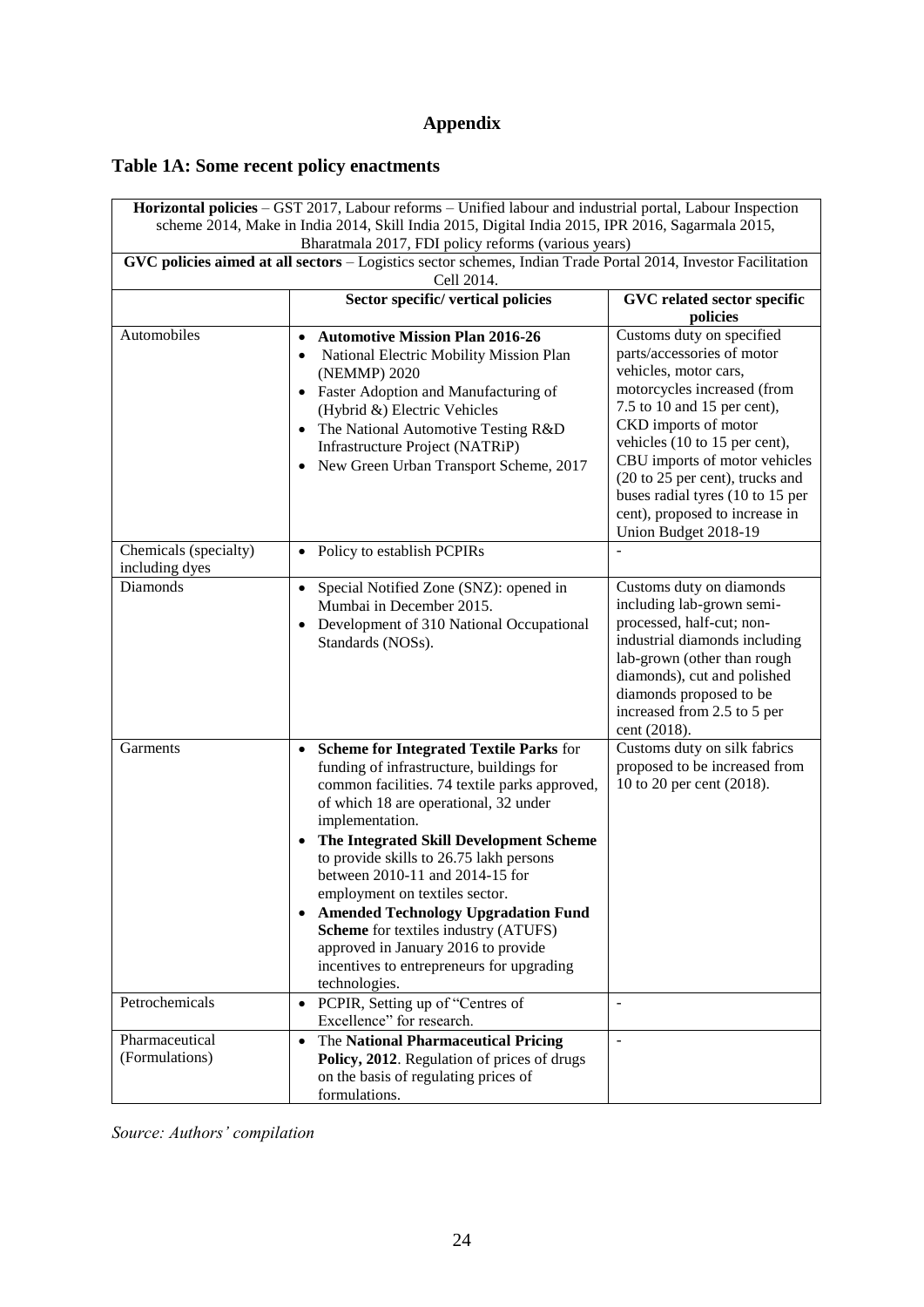# **Appendix**

# <span id="page-26-0"></span>**Table 1A: Some recent policy enactments**

| Horizontal policies - GST 2017, Labour reforms - Unified labour and industrial portal, Labour Inspection |                                                                                                                                                                                                                                                                                                                                                                                                                                                                                                                                                                      |                                                                                                                                                                                                                                                             |  |  |  |
|----------------------------------------------------------------------------------------------------------|----------------------------------------------------------------------------------------------------------------------------------------------------------------------------------------------------------------------------------------------------------------------------------------------------------------------------------------------------------------------------------------------------------------------------------------------------------------------------------------------------------------------------------------------------------------------|-------------------------------------------------------------------------------------------------------------------------------------------------------------------------------------------------------------------------------------------------------------|--|--|--|
| scheme 2014, Make in India 2014, Skill India 2015, Digital India 2015, IPR 2016, Sagarmala 2015,         |                                                                                                                                                                                                                                                                                                                                                                                                                                                                                                                                                                      |                                                                                                                                                                                                                                                             |  |  |  |
|                                                                                                          | Bharatmala 2017, FDI policy reforms (various years)                                                                                                                                                                                                                                                                                                                                                                                                                                                                                                                  |                                                                                                                                                                                                                                                             |  |  |  |
|                                                                                                          | GVC policies aimed at all sectors - Logistics sector schemes, Indian Trade Portal 2014, Investor Facilitation<br>Cell 2014.                                                                                                                                                                                                                                                                                                                                                                                                                                          |                                                                                                                                                                                                                                                             |  |  |  |
|                                                                                                          | Sector specific/ vertical policies                                                                                                                                                                                                                                                                                                                                                                                                                                                                                                                                   |                                                                                                                                                                                                                                                             |  |  |  |
|                                                                                                          | GVC related sector specific<br>policies                                                                                                                                                                                                                                                                                                                                                                                                                                                                                                                              |                                                                                                                                                                                                                                                             |  |  |  |
| Automobiles                                                                                              | <b>Automotive Mission Plan 2016-26</b><br>National Electric Mobility Mission Plan<br>(NEMMP) 2020<br>Faster Adoption and Manufacturing of<br>(Hybrid &) Electric Vehicles<br>The National Automotive Testing R&D<br>Infrastructure Project (NATRiP)<br>New Green Urban Transport Scheme, 2017                                                                                                                                                                                                                                                                        | Customs duty on specified<br>parts/accessories of motor<br>vehicles, motor cars,<br>motorcycles increased (from<br>7.5 to 10 and 15 per cent),<br>CKD imports of motor<br>vehicles (10 to 15 per cent),<br>CBU imports of motor vehicles                    |  |  |  |
|                                                                                                          |                                                                                                                                                                                                                                                                                                                                                                                                                                                                                                                                                                      | (20 to 25 per cent), trucks and<br>buses radial tyres (10 to 15 per<br>cent), proposed to increase in<br>Union Budget 2018-19                                                                                                                               |  |  |  |
| Chemicals (specialty)<br>including dyes                                                                  | Policy to establish PCPIRs                                                                                                                                                                                                                                                                                                                                                                                                                                                                                                                                           |                                                                                                                                                                                                                                                             |  |  |  |
| Diamonds                                                                                                 | Special Notified Zone (SNZ): opened in<br>Mumbai in December 2015.<br>Development of 310 National Occupational<br>Standards (NOSs).                                                                                                                                                                                                                                                                                                                                                                                                                                  | Customs duty on diamonds<br>including lab-grown semi-<br>processed, half-cut; non-<br>industrial diamonds including<br>lab-grown (other than rough<br>diamonds), cut and polished<br>diamonds proposed to be<br>increased from 2.5 to 5 per<br>cent (2018). |  |  |  |
| Garments                                                                                                 | <b>Scheme for Integrated Textile Parks for</b><br>funding of infrastructure, buildings for<br>common facilities. 74 textile parks approved,<br>of which 18 are operational, 32 under<br>implementation.<br>The Integrated Skill Development Scheme<br>to provide skills to 26.75 lakh persons<br>between 2010-11 and 2014-15 for<br>employment on textiles sector.<br><b>Amended Technology Upgradation Fund</b><br><b>Scheme</b> for textiles industry (ATUFS)<br>approved in January 2016 to provide<br>incentives to entrepreneurs for upgrading<br>technologies. | Customs duty on silk fabrics<br>proposed to be increased from<br>10 to 20 per cent (2018).                                                                                                                                                                  |  |  |  |
| Petrochemicals                                                                                           | PCPIR, Setting up of "Centres of<br>$\bullet$<br>Excellence" for research.                                                                                                                                                                                                                                                                                                                                                                                                                                                                                           | $\blacksquare$                                                                                                                                                                                                                                              |  |  |  |
| Pharmaceutical<br>(Formulations)                                                                         | The National Pharmaceutical Pricing<br>$\bullet$<br>Policy, 2012. Regulation of prices of drugs<br>on the basis of regulating prices of<br>formulations.                                                                                                                                                                                                                                                                                                                                                                                                             | $\blacksquare$                                                                                                                                                                                                                                              |  |  |  |

*Source: Authors' compilation*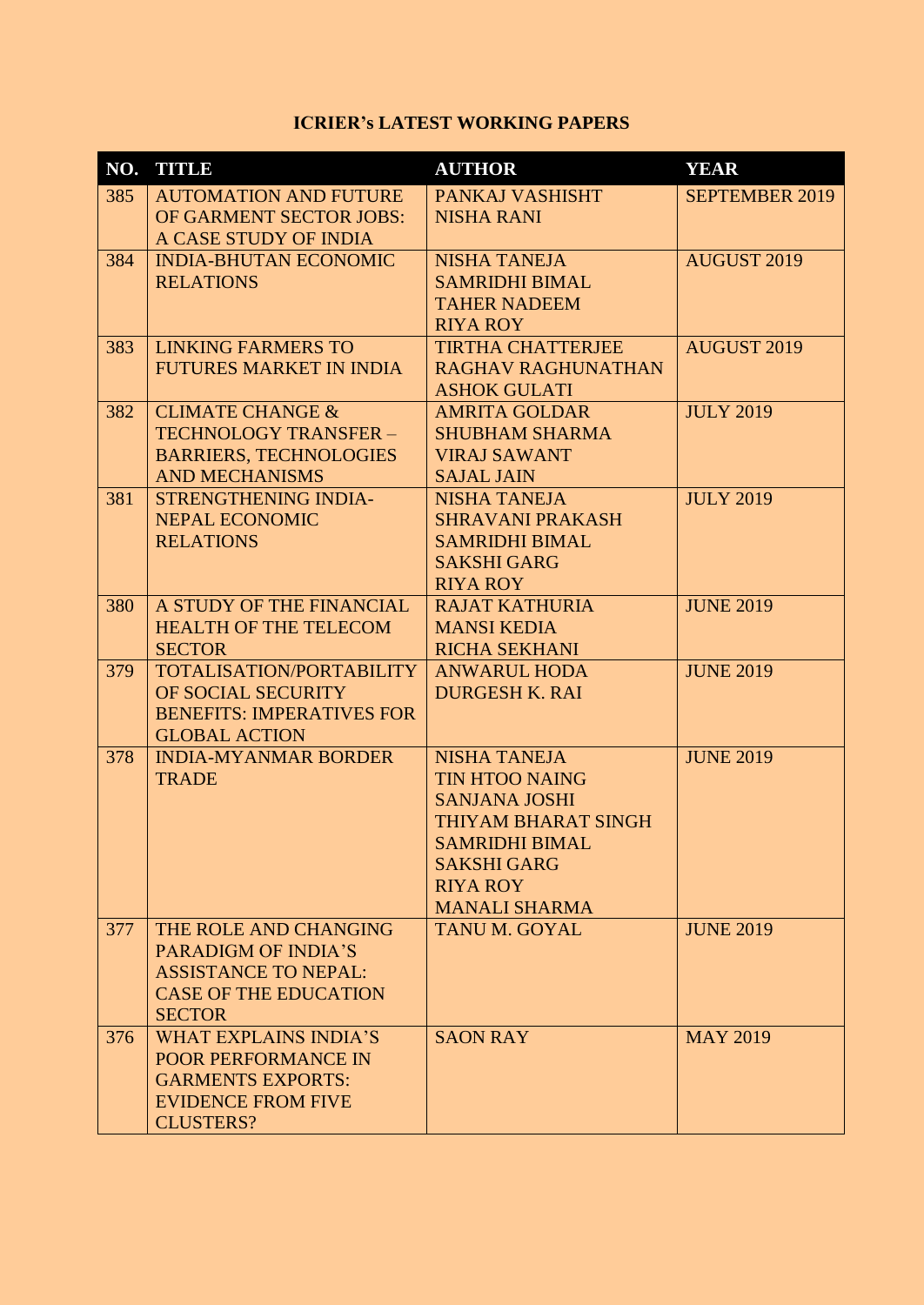### **ICRIER's LATEST WORKING PAPERS**

|     | NO. TITLE                                                | <b>AUTHOR</b>                                | <b>YEAR</b>           |
|-----|----------------------------------------------------------|----------------------------------------------|-----------------------|
| 385 | <b>AUTOMATION AND FUTURE</b><br>OF GARMENT SECTOR JOBS:  | PANKAJ VASHISHT<br><b>NISHA RANI</b>         | <b>SEPTEMBER 2019</b> |
|     | A CASE STUDY OF INDIA                                    |                                              |                       |
| 384 | <b>INDIA-BHUTAN ECONOMIC</b>                             | <b>NISHA TANEJA</b>                          | <b>AUGUST 2019</b>    |
|     | <b>RELATIONS</b>                                         | <b>SAMRIDHI BIMAL</b>                        |                       |
|     |                                                          | <b>TAHER NADEEM</b><br><b>RIYA ROY</b>       |                       |
| 383 | <b>LINKING FARMERS TO</b>                                | <b>TIRTHA CHATTERJEE</b>                     | <b>AUGUST 2019</b>    |
|     | <b>FUTURES MARKET IN INDIA</b>                           | <b>RAGHAV RAGHUNATHAN</b>                    |                       |
|     |                                                          | <b>ASHOK GULATI</b>                          |                       |
| 382 | <b>CLIMATE CHANGE &amp;</b>                              | <b>AMRITA GOLDAR</b>                         | <b>JULY 2019</b>      |
|     | TECHNOLOGY TRANSFER -<br><b>BARRIERS, TECHNOLOGIES</b>   | <b>SHUBHAM SHARMA</b><br><b>VIRAJ SAWANT</b> |                       |
|     | <b>AND MECHANISMS</b>                                    | <b>SAJAL JAIN</b>                            |                       |
| 381 | <b>STRENGTHENING INDIA-</b>                              | <b>NISHA TANEJA</b>                          | <b>JULY 2019</b>      |
|     | <b>NEPAL ECONOMIC</b>                                    | <b>SHRAVANI PRAKASH</b>                      |                       |
|     | <b>RELATIONS</b>                                         | <b>SAMRIDHI BIMAL</b>                        |                       |
|     |                                                          | <b>SAKSHI GARG</b>                           |                       |
| 380 | A STUDY OF THE FINANCIAL                                 | <b>RIYA ROY</b><br><b>RAJAT KATHURIA</b>     | <b>JUNE 2019</b>      |
|     | <b>HEALTH OF THE TELECOM</b>                             | <b>MANSI KEDIA</b>                           |                       |
|     | <b>SECTOR</b>                                            | <b>RICHA SEKHANI</b>                         |                       |
| 379 | <b>TOTALISATION/PORTABILITY</b>                          | <b>ANWARUL HODA</b>                          | <b>JUNE 2019</b>      |
|     | OF SOCIAL SECURITY                                       | <b>DURGESH K. RAI</b>                        |                       |
|     | <b>BENEFITS: IMPERATIVES FOR</b><br><b>GLOBAL ACTION</b> |                                              |                       |
| 378 | <b>INDIA-MYANMAR BORDER</b>                              | <b>NISHA TANEJA</b>                          | <b>JUNE 2019</b>      |
|     | <b>TRADE</b>                                             | <b>TIN HTOO NAING</b>                        |                       |
|     |                                                          | <b>SANJANA JOSHI</b>                         |                       |
|     |                                                          | THIYAM BHARAT SINGH                          |                       |
|     |                                                          | <b>SAMRIDHI BIMAL</b>                        |                       |
|     |                                                          | <b>SAKSHI GARG</b><br><b>RIYA ROY</b>        |                       |
|     |                                                          | <b>MANALI SHARMA</b>                         |                       |
| 377 | THE ROLE AND CHANGING                                    | <b>TANU M. GOYAL</b>                         | <b>JUNE 2019</b>      |
|     | <b>PARADIGM OF INDIA'S</b>                               |                                              |                       |
|     | <b>ASSISTANCE TO NEPAL:</b>                              |                                              |                       |
|     | <b>CASE OF THE EDUCATION</b>                             |                                              |                       |
| 376 | <b>SECTOR</b><br><b>WHAT EXPLAINS INDIA'S</b>            | <b>SAON RAY</b>                              | <b>MAY 2019</b>       |
|     | <b>POOR PERFORMANCE IN</b>                               |                                              |                       |
|     | <b>GARMENTS EXPORTS:</b>                                 |                                              |                       |
|     | <b>EVIDENCE FROM FIVE</b>                                |                                              |                       |
|     | <b>CLUSTERS?</b>                                         |                                              |                       |